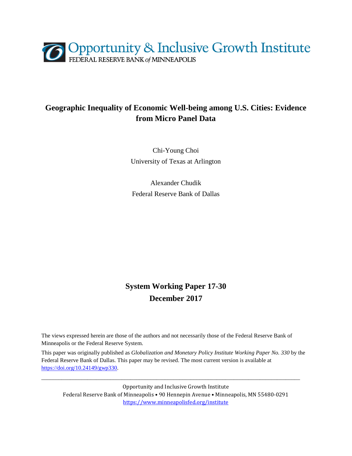

## **Geographic Inequality of Economic Well-being among U.S. Cities: Evidence from Micro Panel Data**

Chi-Young Choi University of Texas at Arlington

Alexander Chudik Federal Reserve Bank of Dallas

# **System Working Paper 17-30 December 2017**

The views expressed herein are those of the authors and not necessarily those of the Federal Reserve Bank of Minneapolis or the Federal Reserve System.

This paper was originally published as *Globalization and Monetary Policy Institute Working Paper No. 330* by the Federal Reserve Bank of Dallas. This paper may be revised. The most current version is available at [https://doi.org/10.24149/gwp330.](https://doi.org/10.24149/gwp330)

\_\_\_\_\_\_\_\_\_\_\_\_\_\_\_\_\_\_\_\_\_\_\_\_\_\_\_\_\_\_\_\_\_\_\_\_\_\_\_\_\_\_\_\_\_\_\_\_\_\_\_\_\_\_\_\_\_\_\_\_\_\_\_\_\_\_\_\_\_\_\_\_\_\_\_\_\_\_\_\_\_\_\_\_\_\_\_\_\_\_

Opportunity and Inclusive Growth Institute Federal Reserve Bank of Minneapolis • 90 Hennepin Avenue • Minneapolis, MN 55480-0291 <https://www.minneapolisfed.org/institute>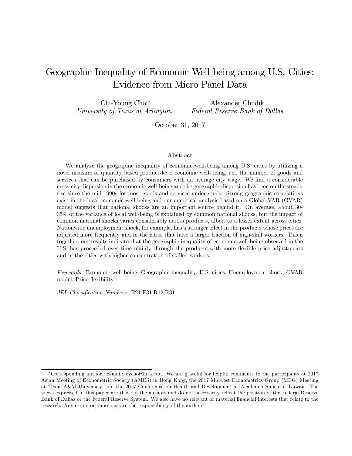## Geographic Inequality of Economic Well-being among U.S. Cities: Evidence from Micro Panel Data

Chi-Young Choi University of Texas at Arlington

Alexander Chudik Federal Reserve Bank of Dallas

October 31, 2017

#### Abstract

We analyze the geographic inequality of economic well-being among U.S. cities by utilizing a novel measure of quantity based product-level economic well-being, i.e., the number of goods and services that can be purchased by consumers with an average city wage. We find a considerable cross-city dispersion in the economic well-being and the geographic dispersion has been on the steady rise since the mid-1990s for most goods and services under study. Strong geographic correlations exist in the local economic well-being and our empirical analysis based on a Global VAR (GVAR) model suggests that national shocks are an important source behind it. On average, about 30- 35% of the variance of local well-being is explained by common national shocks, but the impact of common national shocks varies considerably across products, albeit to a lesser extent across cities. Nationwide unemployment shock, for example, has a stronger effect in the products whose prices are adjusted more frequently and in the cities that have a larger fraction of high-skill workers. Taken together, our results indicate that the geographic inequality of economic well-being observed in the U.S. has proceeded over time mainly through the products with more flexible price adjustments and in the cities with higher concentration of skilled workers.

Keywords: Economic well-being, Geographic inequality, U.S. cities, Unemployment shock, GVAR model, Price flexibility.

JEL Classification Numbers: E21, E31, R12, R31

Corresponding author. E-mail: cychoi@uta.edu. We are grateful for helpful comments to the participants at 2017 Asian Meeting of Econometric Society (AMES) in Hong Kong, the 2017 Midwest Econometrics Group (MEG) Meeting at Texas A&M University, and the 2017 Conference on Health and Development at Academia Sinica in Taiwan. The views expressed in this paper are those of the authors and do not necessarily reflect the position of the Federal Reserve Bank of Dallas or the Federal Reserve System. We also have no relevant or material financial interests that relate to the research. Any errors or omissions are the responsibility of the authors.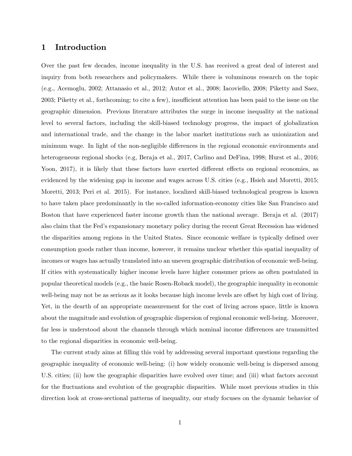### 1 Introduction

Over the past few decades, income inequality in the U.S. has received a great deal of interest and inquiry from both researchers and policymakers. While there is voluminous research on the topic (e.g., Acemoglu, 2002; Attanasio et al., 2012; Autor et al., 2008; Iacoviello, 2008; Piketty and Saez, 2003; Piketty et al., forthcoming; to cite a few), insufficient attention has been paid to the issue on the geographic dimension. Previous literature attributes the surge in income inequality at the national level to several factors, including the skill-biased technology progress, the impact of globalization and international trade, and the change in the labor market institutions such as unionization and minimum wage. In light of the non-negligible differences in the regional economic environments and heterogeneous regional shocks (e.g, Beraja et al., 2017, Carlino and DeFina, 1998; Hurst et al., 2016; Yoon, 2017), it is likely that these factors have exerted different effects on regional economies, as evidenced by the widening gap in income and wages across U.S. cities (e.g., Hsieh and Moretti, 2015; Moretti, 2013; Peri et al. 2015). For instance, localized skill-biased technological progress is known to have taken place predominantly in the so-called information-economy cities like San Francisco and Boston that have experienced faster income growth than the national average. Beraja et al. (2017) also claim that the Fedís expansionary monetary policy during the recent Great Recession has widened the disparities among regions in the United States. Since economic welfare is typically defined over consumption goods rather than income, however, it remains unclear whether this spatial inequality of incomes or wages has actually translated into an uneven geographic distribution of economic well-being. If cities with systematically higher income levels have higher consumer prices as often postulated in popular theoretical models (e.g., the basic Rosen-Roback model), the geographic inequality in economic well-being may not be as serious as it looks because high income levels are offset by high cost of living. Yet, in the dearth of an appropriate measurement for the cost of living across space, little is known about the magnitude and evolution of geographic dispersion of regional economic well-being. Moreover, far less is understood about the channels through which nominal income differences are transmitted to the regional disparities in economic well-being.

The current study aims at filling this void by addressing several important questions regarding the geographic inequality of economic well-being: (i) how widely economic well-being is dispersed among U.S. cities; (ii) how the geographic disparities have evolved over time; and (iii) what factors account for the fluctuations and evolution of the geographic disparities. While most previous studies in this direction look at cross-sectional patterns of inequality, our study focuses on the dynamic behavior of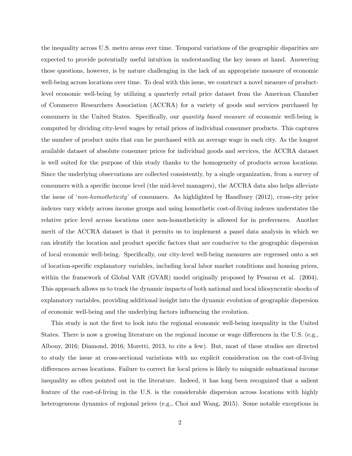the inequality across U.S. metro areas over time. Temporal variations of the geographic disparities are expected to provide potentially useful intuition in understanding the key issues at hand. Answering these questions, however, is by nature challenging in the lack of an appropriate measure of economic well-being across locations over time. To deal with this issue, we construct a novel measure of productlevel economic well-being by utilizing a quarterly retail price dataset from the American Chamber of Commerce Researchers Association (ACCRA) for a variety of goods and services purchased by consumers in the United States. Specifically, our *quantity based measure* of economic well-being is computed by dividing city-level wages by retail prices of individual consumer products. This captures the number of product units that can be purchased with an average wage in each city. As the longest available dataset of absolute consumer prices for individual goods and services, the ACCRA dataset is well suited for the purpose of this study thanks to the homogeneity of products across locations. Since the underlying observations are collected consistently, by a single organization, from a survey of consumers with a specific income level (the mid-level managers), the ACCRA data also helps alleviate the issue of 'non-homotheticity' of consumers. As highlighted by Handbury  $(2012)$ , cross-city price indexes vary widely across income groups and using homothetic cost-of-living indexes understates the relative price level across locations once non-homotheticity is allowed for in preferences. Another merit of the ACCRA dataset is that it permits us to implement a panel data analysis in which we can identify the location and product specific factors that are conducive to the geographic dispersion of local economic well-being. Specifically, our city-level well-being measures are regressed onto a set of location-specific explanatory variables, including local labor market conditions and housing prices, within the framework of Global VAR (GVAR) model originally proposed by Pesaran et al. (2004). This approach allows us to track the dynamic impacts of both national and local idiosyncratic shocks of explanatory variables, providing additional insight into the dynamic evolution of geographic dispersion of economic well-being and the underlying factors ináuencing the evolution.

This study is not the Örst to look into the regional economic well-being inequality in the United States. There is now a growing literature on the regional income or wage differences in the U.S. (e.g., Albouy, 2016; Diamond, 2016; Moretti, 2013, to cite a few). But, most of these studies are directed to study the issue at cross-sectional variations with no explicit consideration on the cost-of-living differences across locations. Failure to correct for local prices is likely to misguide subnational income inequality as often pointed out in the literature. Indeed, it has long been recognized that a salient feature of the cost-of-living in the U.S. is the considerable dispersion across locations with highly heterogeneous dynamics of regional prices (e.g., Choi and Wang, 2015). Some notable exceptions in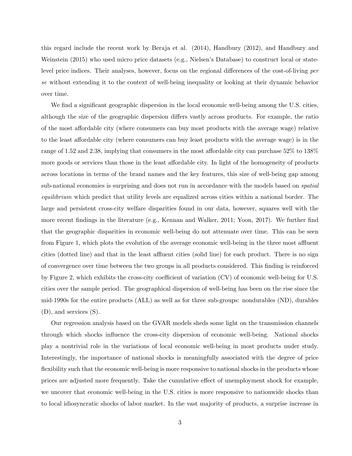this regard include the recent work by Beraja et al. (2014), Handbury (2012), and Handbury and Weinstein (2015) who used micro price datasets (e.g., Nielsen's Database) to construct local or statelevel price indices. Their analyses, however, focus on the regional differences of the cost-of-living per se without extending it to the context of well-being inequality or looking at their dynamic behavior over time.

We find a significant geographic dispersion in the local economic well-being among the U.S. cities, although the size of the geographic dispersion differs vastly across products. For example, the ratio of the most affordable city (where consumers can buy most products with the average wage) relative to the least affordable city (where consumers can buy least products with the average wage) is in the range of 1.52 and 2.38, implying that consumers in the most affordable city can purchase  $52\%$  to  $138\%$ more goods or services than those in the least affordable city. In light of the homogeneity of products across locations in terms of the brand names and the key features, this size of well-being gap among sub-national economies is surprising and does not run in accordance with the models based on *spatial* equilibrium which predict that utility levels are equalized across cities within a national border. The large and persistent cross-city welfare disparities found in our data, however, squares well with the more recent findings in the literature (e.g., Kennan and Walker, 2011; Yoon, 2017). We further find that the geographic disparities in economic well-being do not attenuate over time. This can be seen from Figure 1, which plots the evolution of the average economic well-being in the three most affluent cities (dotted line) and that in the least affluent cities (solid line) for each product. There is no sign of convergence over time between the two groups in all products considered. This Önding is reinforced by Figure 2, which exhibits the cross-city coefficient of variation (CV) of economic well-being for U.S. cities over the sample period. The geographical dispersion of well-being has been on the rise since the mid-1990s for the entire products (ALL) as well as for three sub-groups: nondurables (ND), durables (D), and services (S).

Our regression analysis based on the GVAR models sheds some light on the transmission channels through which shocks ináuence the cross-city dispersion of economic well-being. National shocks play a nontrivial role in the variations of local economic well-being in most products under study. Interestingly, the importance of national shocks is meaningfully associated with the degree of price flexibility such that the economic well-being is more responsive to national shocks in the products whose prices are adjusted more frequently. Take the cumulative effect of unemployment shock for example, we uncover that economic well-being in the U.S. cities is more responsive to nationwide shocks than to local idiosyncratic shocks of labor market. In the vast majority of products, a surprise increase in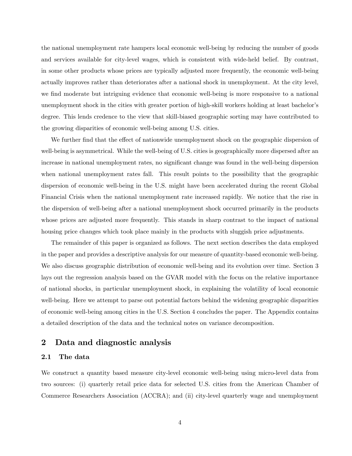the national unemployment rate hampers local economic well-being by reducing the number of goods and services available for city-level wages, which is consistent with wide-held belief. By contrast, in some other products whose prices are typically adjusted more frequently, the economic well-being actually improves rather than deteriorates after a national shock in unemployment. At the city level, we find moderate but intriguing evidence that economic well-being is more responsive to a national unemployment shock in the cities with greater portion of high-skill workers holding at least bachelor's degree. This lends credence to the view that skill-biased geographic sorting may have contributed to the growing disparities of economic well-being among U.S. cities.

We further find that the effect of nationwide unemployment shock on the geographic dispersion of well-being is asymmetrical. While the well-being of U.S. cities is geographically more dispersed after an increase in national unemployment rates, no significant change was found in the well-being dispersion when national unemployment rates fall. This result points to the possibility that the geographic dispersion of economic well-being in the U.S. might have been accelerated during the recent Global Financial Crisis when the national unemployment rate increased rapidly. We notice that the rise in the dispersion of well-being after a national unemployment shock occurred primarily in the products whose prices are adjusted more frequently. This stands in sharp contrast to the impact of national housing price changes which took place mainly in the products with sluggish price adjustments.

The remainder of this paper is organized as follows. The next section describes the data employed in the paper and provides a descriptive analysis for our measure of quantity-based economic well-being. We also discuss geographic distribution of economic well-being and its evolution over time. Section 3 lays out the regression analysis based on the GVAR model with the focus on the relative importance of national shocks, in particular unemployment shock, in explaining the volatility of local economic well-being. Here we attempt to parse out potential factors behind the widening geographic disparities of economic well-being among cities in the U.S. Section 4 concludes the paper. The Appendix contains a detailed description of the data and the technical notes on variance decomposition.

#### 2 Data and diagnostic analysis

#### 2.1 The data

We construct a quantity based measure city-level economic well-being using micro-level data from two sources: (i) quarterly retail price data for selected U.S. cities from the American Chamber of Commerce Researchers Association (ACCRA); and (ii) city-level quarterly wage and unemployment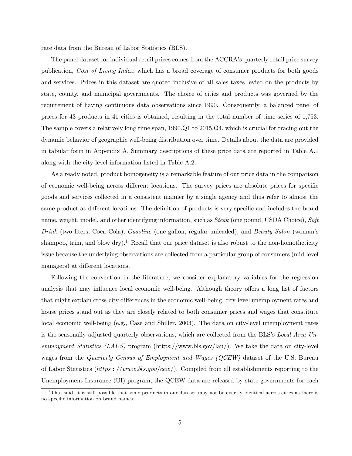rate data from the Bureau of Labor Statistics (BLS).

The panel dataset for individual retail prices comes from the ACCRA's quarterly retail price survey publication, Cost of Living Index, which has a broad coverage of consumer products for both goods and services. Prices in this dataset are quoted inclusive of all sales taxes levied on the products by state, county, and municipal governments. The choice of cities and products was governed by the requirement of having continuous data observations since 1990. Consequently, a balanced panel of prices for 43 products in 41 cities is obtained, resulting in the total number of time series of 1,753. The sample covers a relatively long time span, 1990.Q1 to 2015.Q4, which is crucial for tracing out the dynamic behavior of geographic well-being distribution over time. Details about the data are provided in tabular form in Appendix A. Summary descriptions of these price data are reported in Table A.1 along with the city-level information listed in Table A.2.

As already noted, product homogeneity is a remarkable feature of our price data in the comparison of economic well-being across different locations. The survey prices are absolute prices for specific goods and services collected in a consistent manner by a single agency and thus refer to almost the same product at different locations. The definition of products is very specific and includes the brand name, weight, model, and other identifying information, such as *Steak* (one pound, USDA Choice), Soft Drink (two liters, Coca Cola), Gasoline (one gallon, regular unleaded), and Beauty Salon (woman's shampoo, trim, and blow dry).<sup>1</sup> Recall that our price dataset is also robust to the non-homotheticity issue because the underlying observations are collected from a particular group of consumers (mid-level managers) at different locations.

Following the convention in the literature, we consider explanatory variables for the regression analysis that may influence local economic well-being. Although theory offers a long list of factors that might explain cross-city differences in the economic well-being, city-level unemployment rates and house prices stand out as they are closely related to both consumer prices and wages that constitute local economic well-being (e.g., Case and Shiller, 2003). The data on city-level unemployment rates is the seasonally adjusted quarterly observations, which are collected from the BLS's Local Area Unemployment Statistics (LAUS) program (https://www.bls.gov/lau/). We take the data on city-level wages from the Quarterly Census of Employment and Wages (QCEW) dataset of the U.S. Bureau of Labor Statistics (https://www.bls.gov/cew/). Compiled from all establishments reporting to the Unemployment Insurance (UI) program, the QCEW data are released by state governments for each

<sup>&</sup>lt;sup>1</sup>That said, it is still possible that some products in our dataset may not be exactly identical across cities as there is no specific information on brand names.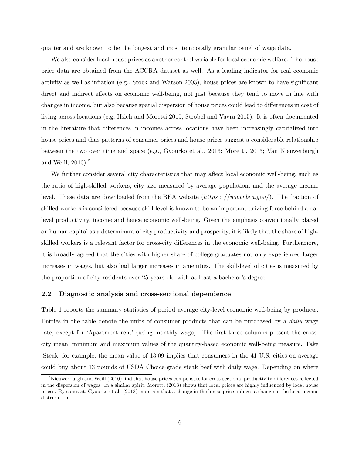quarter and are known to be the longest and most temporally granular panel of wage data.

We also consider local house prices as another control variable for local economic welfare. The house price data are obtained from the ACCRA dataset as well. As a leading indicator for real economic activity as well as inflation (e.g., Stock and Watson  $2003$ ), house prices are known to have significant direct and indirect effects on economic well-being, not just because they tend to move in line with changes in income, but also because spatial dispersion of house prices could lead to differences in cost of living across locations (e.g, Hsieh and Moretti 2015, Strobel and Vavra 2015). It is often documented in the literature that differences in incomes across locations have been increasingly capitalized into house prices and thus patterns of consumer prices and house prices suggest a considerable relationship between the two over time and space (e.g., Gyourko et al., 2013; Moretti, 2013; Van Nieuwerburgh and Weill,  $2010$ ).<sup>2</sup>

We further consider several city characteristics that may affect local economic well-being, such as the ratio of high-skilled workers, city size measured by average population, and the average income level. These data are downloaded from the BEA website (https://www.bea.gov/). The fraction of skilled workers is considered because skill-level is known to be an important driving force behind arealevel productivity, income and hence economic well-being. Given the emphasis conventionally placed on human capital as a determinant of city productivity and prosperity, it is likely that the share of highskilled workers is a relevant factor for cross-city differences in the economic well-being. Furthermore, it is broadly agreed that the cities with higher share of college graduates not only experienced larger increases in wages, but also had larger increases in amenities. The skill-level of cities is measured by the proportion of city residents over 25 years old with at least a bachelor's degree.

#### 2.2 Diagnostic analysis and cross-sectional dependence

Table 1 reports the summary statistics of period average city-level economic well-being by products. Entries in the table denote the units of consumer products that can be purchased by a daily wage rate, except for 'Apartment rent' (using monthly wage). The first three columns present the crosscity mean, minimum and maximum values of the quantity-based economic well-being measure. Take ëSteakí for example, the mean value of 13.09 implies that consumers in the 41 U.S. cities on average could buy about 13 pounds of USDA Choice-grade steak beef with daily wage. Depending on where

<sup>&</sup>lt;sup>2</sup>Nieuwerburgh and Weill (2010) find that house prices compensate for cross-sectional productivity differences reflected in the dispersion of wages. In a similar spirit, Moretti (2013) shows that local prices are highly ináuenced by local house prices. By contrast, Gyourko et al. (2013) maintain that a change in the house price induces a change in the local income distribution.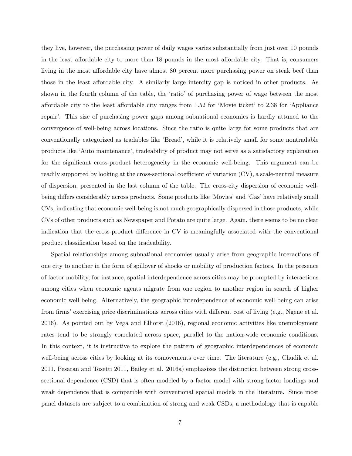they live, however, the purchasing power of daily wages varies substantially from just over 10 pounds in the least affordable city to more than 18 pounds in the most affordable city. That is, consumers living in the most affordable city have almost 80 percent more purchasing power on steak beef than those in the least affordable city. A similarly large intercity gap is noticed in other products. As shown in the fourth column of the table, the 'ratio' of purchasing power of wage between the most affordable city to the least affordable city ranges from  $1.52$  for 'Movie ticket' to  $2.38$  for 'Appliance repairí. This size of purchasing power gaps among subnational economies is hardly attuned to the convergence of well-being across locations. Since the ratio is quite large for some products that are conventionally categorized as tradables like 'Bread', while it is relatively small for some nontradable products like ëAuto maintenanceí, tradeability of product may not serve as a satisfactory explanation for the significant cross-product heterogeneity in the economic well-being. This argument can be readily supported by looking at the cross-sectional coefficient of variation  $(CV)$ , a scale-neutral measure of dispersion, presented in the last column of the table. The cross-city dispersion of economic wellbeing differs considerably across products. Some products like 'Movies' and 'Gas' have relatively small CVs, indicating that economic well-being is not much geographically dispersed in those products, while CVs of other products such as Newspaper and Potato are quite large. Again, there seems to be no clear indication that the cross-product difference in CV is meaningfully associated with the conventional product classification based on the tradeability.

Spatial relationships among subnational economies usually arise from geographic interactions of one city to another in the form of spillover of shocks or mobility of production factors. In the presence of factor mobility, for instance, spatial interdependence across cities may be prompted by interactions among cities when economic agents migrate from one region to another region in search of higher economic well-being. Alternatively, the geographic interdependence of economic well-being can arise from firms' exercising price discriminations across cities with different cost of living (e.g., Ngene et al. 2016). As pointed out by Vega and Elhorst (2016), regional economic activities like unemployment rates tend to be strongly correlated across space, parallel to the nation-wide economic conditions. In this context, it is instructive to explore the pattern of geographic interdependences of economic well-being across cities by looking at its comovements over time. The literature (e.g., Chudik et al. 2011, Pesaran and Tosetti 2011, Bailey et al. 2016a) emphasizes the distinction between strong crosssectional dependence (CSD) that is often modeled by a factor model with strong factor loadings and weak dependence that is compatible with conventional spatial models in the literature. Since most panel datasets are subject to a combination of strong and weak CSDs, a methodology that is capable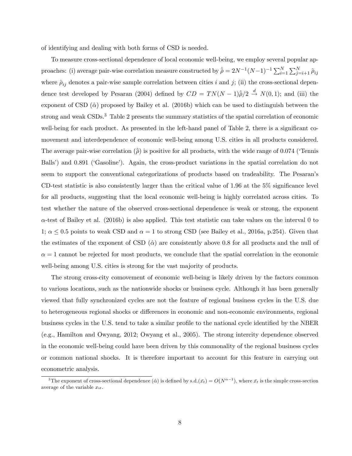of identifying and dealing with both forms of CSD is needed.

To measure cross-sectional dependence of local economic well-being, we employ several popular approaches: (i) average pair-wise correlation measure constructed by  $\hat{\rho} = 2N^{-1}(N-1)^{-1} \sum_{i=1}^{N} \sum_{j=i+1}^{N} \hat{\rho}_{ij}$ where  $\hat{\rho}_{ij}$  denotes a pair-wise sample correlation between cities i and j; (ii) the cross-sectional dependence test developed by Pesaran (2004) defined by  $CD = TN(N - 1)\hat{p}/2 \stackrel{d}{\rightarrow} N(0, 1)$ ; and (iii) the exponent of CSD  $(\hat{\alpha})$  proposed by Bailey et al. (2016b) which can be used to distinguish between the strong and weak CSDs.<sup>3</sup> Table 2 presents the summary statistics of the spatial correlation of economic well-being for each product. As presented in the left-hand panel of Table 2, there is a significant comovement and interdependence of economic well-being among U.S. cities in all products considered. The average pair-wise correlation  $(\hat{\rho})$  is positive for all products, with the wide range of 0.074 (Tennis Balls') and 0.891 ('Gasoline'). Again, the cross-product variations in the spatial correlation do not seem to support the conventional categorizations of products based on tradeability. The Pesaran's CD-test statistic is also consistently larger than the critical value of  $1.96$  at the  $5\%$  significance level for all products, suggesting that the local economic well-being is highly correlated across cities. To test whether the nature of the observed cross-sectional dependence is weak or strong, the exponent  $\alpha$ -test of Bailey et al. (2016b) is also applied. This test statistic can take values on the interval 0 to 1;  $\alpha \leq 0.5$  points to weak CSD and  $\alpha = 1$  to strong CSD (see Bailey et al., 2016a, p.254). Given that the estimates of the exponent of CSD  $(\hat{\alpha})$  are consistently above 0.8 for all products and the null of  $\alpha = 1$  cannot be rejected for most products, we conclude that the spatial correlation in the economic well-being among U.S. cities is strong for the vast majority of products.

The strong cross-city comovement of economic well-being is likely driven by the factors common to various locations, such as the nationwide shocks or business cycle. Although it has been generally viewed that fully synchronized cycles are not the feature of regional business cycles in the U.S. due to heterogeneous regional shocks or differences in economic and non-economic environments, regional business cycles in the U.S. tend to take a similar profile to the national cycle identified by the NBER (e.g., Hamilton and Owyang, 2012; Owyang et al., 2005). The strong intercity dependence observed in the economic well-being could have been driven by this commonality of the regional business cycles or common national shocks. It is therefore important to account for this feature in carrying out econometric analysis.

<sup>&</sup>lt;sup>3</sup>The exponent of cross-sectional dependence  $(\hat{\alpha})$  is defined by s.d. $(\bar{x}_t) = O(N^{\alpha-1})$ , where  $\bar{x}_t$  is the simple cross-section average of the variable  $x_{it}$ .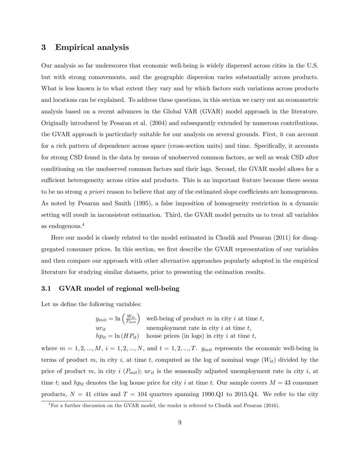### 3 Empirical analysis

Our analysis so far underscores that economic well-being is widely dispersed across cities in the U.S. but with strong comovements, and the geographic dispersion varies substantially across products. What is less known is to what extent they vary and by which factors such variations across products and locations can be explained. To address these questions, in this section we carry out an econometric analysis based on a recent advances in the Global VAR (GVAR) model approach in the literature. Originally introduced by Pesaran et al. (2004) and subsequently extended by numerous contributions, the GVAR approach is particularly suitable for our analysis on several grounds. First, it can account for a rich pattern of dependence across space (cross-section units) and time. Specifically, it accounts for strong CSD found in the data by means of unobserved common factors, as well as weak CSD after conditioning on the unobserved common factors and their lags. Second, the GVAR model allows for a sufficient heterogeneity across cities and products. This is an important feature because there seems to be no strong a priori reason to believe that any of the estimated slope coefficients are homogeneous. As noted by Pesaran and Smith (1995), a false imposition of homogeneity restriction in a dynamic setting will result in inconsistent estimation. Third, the GVAR model permits us to treat all variables as endogenous.<sup>4</sup>

Here our model is closely related to the model estimated in Chudik and Pesaran (2011) for disaggregated consumer prices. In this section, we first describe the GVAR representation of our variables and then compare our approach with other alternative approaches popularly adopted in the empirical literature for studying similar datasets, prior to presenting the estimation results.

#### 3.1 GVAR model of regional well-being

Let us define the following variables:

$$
y_{mit} = \ln\left(\frac{W_{it}}{P_{mit}}\right)
$$
 well-being of product *m* in city *i* at time *t*,  
\n*uri*  
\n
$$
hp_{it} = \ln\left(HP_{it}\right)
$$
house prices (in logs) in city *i* at time *t*,

where  $m = 1, 2, ..., M$ ,  $i = 1, 2, ..., N$ , and  $t = 1, 2, ..., T$ .  $y_{mit}$  represents the economic well-being in terms of product m, in city i, at time t, computed as the log of nominal wage  $(W_{it})$  divided by the price of product m, in city i  $(P_{mit})$ ; ur<sub>it</sub> is the seasonally adjusted unemployment rate in city i, at time t; and hp<sub>it</sub> denotes the log house price for city i at time t. Our sample covers  $M = 43$  consumer products,  $N = 41$  cities and  $T = 104$  quarters spanning 1990.Q1 to 2015.Q4. We refer to the city

<sup>&</sup>lt;sup>4</sup>For a further discussion on the GVAR model, the reader is referred to Chudik and Pesaran (2016).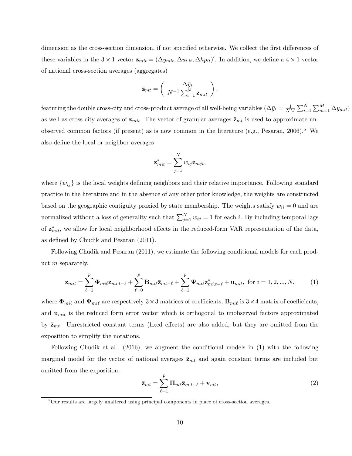dimension as the cross-section dimension, if not specified otherwise. We collect the first differences of these variables in the  $3 \times 1$  vector  $\mathbf{z}_{mit} = (\Delta y_{mit}, \Delta u_{lit}, \Delta h_{lit})'$ . In addition, we define a  $4 \times 1$  vector of national cross-section averages (aggregates)

$$
\mathbf{\bar{z}}_{mt} = \left(\begin{array}{c} \Delta \bar{y}_t \\ N^{-1} \sum_{i=1}^N \mathbf{z}_{mit} \end{array}\right),
$$

featuring the double cross-city and cross-product average of all well-being variables  $(\Delta \bar{y}_t = \frac{1}{N}$  $\frac{1}{NM} \sum_{i=1}^{N} \sum_{m=1}^{M} \Delta y_{mit}$ as well as cross-city averages of  $z_{mit}$ . The vector of granular averages  $\bar{z}_{mt}$  is used to approximate unobserved common factors (if present) as is now common in the literature (e.g., Pesaran, 2006).<sup>5</sup> We also define the local or neighbor averages

$$
\mathbf{z}_{mit}^* = \sum_{j=1}^N w_{ij} \mathbf{z}_{mjt},
$$

where  $\{w_{ij}\}\$ is the local weights defining neighbors and their relative importance. Following standard practice in the literature and in the absence of any other prior knowledge, the weights are constructed based on the geographic contiguity proxied by state membership. The weights satisfy  $w_{ii} = 0$  and are normalized without a loss of generality such that  $\sum_{j=1}^{N} w_{ij} = 1$  for each i. By including temporal lags of  $\mathbf{z}_{mit}^*$ , we allow for local neighborhood effects in the reduced-form VAR representation of the data, as defined by Chudik and Pesaran  $(2011)$ .

Following Chudik and Pesaran (2011), we estimate the following conditional models for each product m separately,

$$
\mathbf{z}_{mit} = \sum_{\ell=1}^p \mathbf{\Phi}_{mi\ell} \mathbf{z}_{mi,t-\ell} + \sum_{\ell=0}^p \mathbf{B}_{mi\ell} \mathbf{\bar{z}}_{mt-\ell} + \sum_{\ell=1}^p \mathbf{\Psi}_{mi\ell} \mathbf{z}_{mi,t-\ell}^* + \mathbf{u}_{mit}, \text{ for } i = 1, 2, ..., N,
$$
 (1)

where  $\Phi_{mil}$  and  $\Psi_{mil}$  are respectively  $3\times 3$  matrices of coefficients,  $\mathbf{B}_{mil}$  is  $3\times 4$  matrix of coefficients, and  $\mathbf{u}_{mit}$  is the reduced form error vector which is orthogonal to unobserved factors approximated by  $\bar{\mathbf{z}}_{mt}$ . Unrestricted constant terms (fixed effects) are also added, but they are omitted from the exposition to simplify the notations.

Following Chudik et al. (2016), we augment the conditional models in (1) with the following marginal model for the vector of national averages  $\bar{\mathbf{z}}_{mt}$  and again constant terms are included but omitted from the exposition,

$$
\bar{\mathbf{z}}_{mt} = \sum_{\ell=1}^{p} \mathbf{\Pi}_{m\ell} \bar{\mathbf{z}}_{m,t-\ell} + \mathbf{v}_{mt},
$$
\n(2)

 $5$ Our results are largely unaltered using principal components in place of cross-section averages.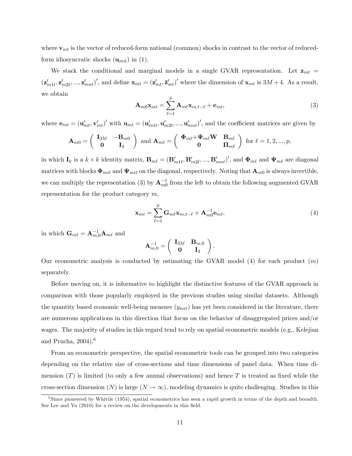where  $\mathbf{v}_{mt}$  is the vector of reduced-form national (common) shocks in contrast to the vector of reducedform idiosyncratic shocks  $(\mathbf{u}_{mit})$  in (1).

We stack the conditional and marginal models in a single GVAR representation. Let  $z_{mt}$  =  $(\mathbf{z}'_{m1t}, \mathbf{z}'_{m2t}, ..., \mathbf{z}'_{mnt})'$ , and define  $\mathbf{x}_{mt} = (\mathbf{z}'_{mt}, \mathbf{\bar{z}}'_{mt})'$  where the dimension of  $\mathbf{x}_{mt}$  is  $3M + 4$ . As a result, we obtain

$$
\mathbf{A}_{m0}\mathbf{x}_{mt} = \sum_{\ell=1}^{p} \mathbf{A}_{m\ell}\mathbf{x}_{m,t-\ell} + \mathbf{e}_{mt},
$$
\n(3)

where  $\mathbf{e}_{mt} = (\mathbf{u}'_{mt}, \mathbf{v}'_{mt})'$  with  $\mathbf{u}_{mt} = (\mathbf{u}'_{m1t}, \mathbf{u}'_{m2t}, ..., \mathbf{u}'_{mnt})'$ , and the coefficient matrices are given by

$$
\mathbf{A}_{m0} = \left( \begin{array}{cc} \mathbf{I}_{3M} & -\mathbf{B}_{m0} \\ \mathbf{0} & \mathbf{I}_4 \end{array} \right) \text{ and } \mathbf{A}_{m\ell} = \left( \begin{array}{cc} \mathbf{\Phi}_{m\ell} + \mathbf{\Psi}_{m\ell} \mathbf{W} & \mathbf{B}_{m\ell} \\ \mathbf{0} & \mathbf{\Pi}_{m\ell} \end{array} \right) \text{ for } \ell = 1, 2, ..., p,
$$

in which  $\mathbf{I}_k$  is a  $k \times k$  identity matrix,  $\mathbf{B}_{m\ell} = (\mathbf{B}_{m1\ell}', \mathbf{B}_{m2\ell}', ..., \mathbf{B}_{mn\ell}')'$ , and  $\mathbf{\Phi}_{m\ell}$  and  $\mathbf{\Psi}_{m\ell}$  are diagonal matrices with blocks  $\Phi_{mi\ell}$  and  $\Psi_{mi\ell}$  on the diagonal, respectively. Noting that  $\mathbf{A}_{m0}$  is always invertible, we can multiply the representation (3) by  $A_{m0}^{-1}$  from the left to obtain the following augmented GVAR representation for the product category  $m$ ,

$$
\mathbf{x}_{mt} = \sum_{\ell=1}^{p} \mathbf{G}_{m\ell} \mathbf{x}_{m,t-\ell} + \mathbf{A}_{m0}^{-1} \mathbf{e}_{mt},
$$
\n(4)

in which  $\mathbf{G}_{m\ell} = \mathbf{A}_{m,0}^{-1} \mathbf{A}_{m\ell}$  and

$$
\mathbf{A}_{m,0}^{-1} = \left( \begin{array}{cc} \mathbf{I}_{3M} & \mathbf{B}_{m,0} \\ \mathbf{0} & \mathbf{I}_4 \end{array} \right).
$$

Our econometric analysis is conducted by estimating the GVAR model (4) for each product  $(m)$ separately.

Before moving on, it is informative to highlight the distinctive features of the GVAR approach in comparison with those popularly employed in the previous studies using similar datasets. Although the quantity based economic well-being measure  $(y<sub>mit</sub>)$  has yet been considered in the literature, there are numerous applications in this direction that focus on the behavior of disaggregated prices and/or wages. The majority of studies in this regard tend to rely on spatial econometric models (e.g., Kelejian and Prucha,  $2004$ .<sup>6</sup>

From an econometric perspective, the spatial econometric tools can be grouped into two categories depending on the relative size of cross-sections and time dimensions of panel data. When time dimension  $(T)$  is limited (to only a few annual observations) and hence T is treated as fixed while the cross-section dimension (N) is large  $(N \to \infty)$ , modeling dynamics is quite challenging. Studies in this

<sup>&</sup>lt;sup>6</sup>Since pioneered by Whittle (1954), spatial econometrics has seen a rapid growth in terms of the depth and breadth. See Lee and Yu  $(2010)$  for a review on the developments in this field.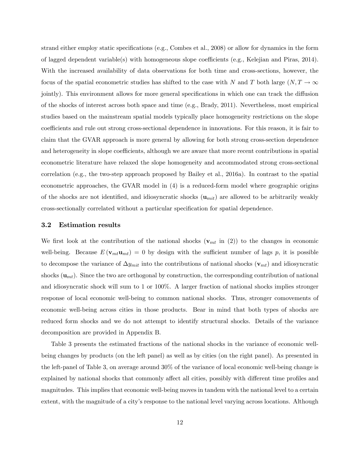strand either employ static specifications (e.g., Combes et al., 2008) or allow for dynamics in the form of lagged dependent variable(s) with homogeneous slope coefficients (e.g., Kelejian and Piras, 2014). With the increased availability of data observations for both time and cross-sections, however, the focus of the spatial econometric studies has shifted to the case with N and T both large  $(N, T \to \infty)$ jointly). This environment allows for more general specifications in which one can track the diffusion of the shocks of interest across both space and time (e.g., Brady, 2011). Nevertheless, most empirical studies based on the mainstream spatial models typically place homogeneity restrictions on the slope coefficients and rule out strong cross-sectional dependence in innovations. For this reason, it is fair to claim that the GVAR approach is more general by allowing for both strong cross-section dependence and heterogeneity in slope coefficients, although we are aware that more recent contributions in spatial econometric literature have relaxed the slope homogeneity and accommodated strong cross-sectional correlation (e.g., the two-step approach proposed by Bailey et al., 2016a). In contrast to the spatial econometric approaches, the GVAR model in (4) is a reduced-form model where geographic origins of the shocks are not identified, and idiosyncratic shocks  $(\mathbf{u}_{mit})$  are allowed to be arbitrarily weakly cross-sectionally correlated without a particular speciÖcation for spatial dependence.

#### 3.2 Estimation results

We first look at the contribution of the national shocks  $(\mathbf{v}_{mt} \in (2))$  to the changes in economic well-being. Because  $E(\mathbf{v}_{mt}\mathbf{u}_{mt}) = 0$  by design with the sufficient number of lags p, it is possible to decompose the variance of  $\Delta y_{mit}$  into the contributions of national shocks  $(\mathbf{v}_{mt})$  and idiosyncratic shocks  $(\mathbf{u}_{mt})$ . Since the two are orthogonal by construction, the corresponding contribution of national and idiosyncratic shock will sum to 1 or 100%. A larger fraction of national shocks implies stronger response of local economic well-being to common national shocks. Thus, stronger comovements of economic well-being across cities in those products. Bear in mind that both types of shocks are reduced form shocks and we do not attempt to identify structural shocks. Details of the variance decomposition are provided in Appendix B.

Table 3 presents the estimated fractions of the national shocks in the variance of economic wellbeing changes by products (on the left panel) as well as by cities (on the right panel). As presented in the left-panel of Table 3, on average around 30% of the variance of local economic well-being change is explained by national shocks that commonly affect all cities, possibly with different time profiles and magnitudes. This implies that economic well-being moves in tandem with the national level to a certain extent, with the magnitude of a city's response to the national level varying across locations. Although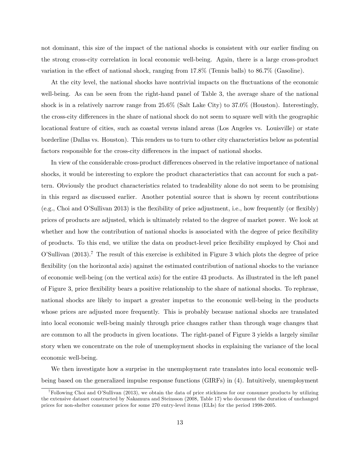not dominant, this size of the impact of the national shocks is consistent with our earlier finding on the strong cross-city correlation in local economic well-being. Again, there is a large cross-product variation in the effect of national shock, ranging from  $17.8\%$  (Tennis balls) to  $86.7\%$  (Gasoline).

At the city level, the national shocks have nontrivial impacts on the fluctuations of the economic well-being. As can be seen from the right-hand panel of Table 3, the average share of the national shock is in a relatively narrow range from 25.6% (Salt Lake City) to 37.0% (Houston). Interestingly, the cross-city differences in the share of national shock do not seem to square well with the geographic locational feature of cities, such as coastal versus inland areas (Los Angeles vs. Louisville) or state borderline (Dallas vs. Houston). This renders us to turn to other city characteristics below as potential factors responsible for the cross-city differences in the impact of national shocks.

In view of the considerable cross-product differences observed in the relative importance of national shocks, it would be interesting to explore the product characteristics that can account for such a pattern. Obviously the product characteristics related to tradeability alone do not seem to be promising in this regard as discussed earlier. Another potential source that is shown by recent contributions  $(e.g., Choi and O'Sullivan 2013)$  is the flexibility of price adjustment, i.e., how frequently (or flexibly) prices of products are adjusted, which is ultimately related to the degree of market power. We look at whether and how the contribution of national shocks is associated with the degree of price flexibility of products. To this end, we utilize the data on product-level price áexibility employed by Choi and O'Sullivan  $(2013)$ .<sup>7</sup> The result of this exercise is exhibited in Figure 3 which plots the degree of price flexibility (on the horizontal axis) against the estimated contribution of national shocks to the variance of economic well-being (on the vertical axis) for the entire 43 products. As illustrated in the left panel of Figure 3, price áexibility bears a positive relationship to the share of national shocks. To rephrase, national shocks are likely to impart a greater impetus to the economic well-being in the products whose prices are adjusted more frequently. This is probably because national shocks are translated into local economic well-being mainly through price changes rather than through wage changes that are common to all the products in given locations. The right-panel of Figure 3 yields a largely similar story when we concentrate on the role of unemployment shocks in explaining the variance of the local economic well-being.

We then investigate how a surprise in the unemployment rate translates into local economic wellbeing based on the generalized impulse response functions (GIRFs) in (4). Intuitively, unemployment

<sup>&</sup>lt;sup>7</sup>Following Choi and O'Sullivan (2013), we obtain the data of price stickiness for our consumer products by utilizing the extensive dataset constructed by Nakamura and Steinsson (2008, Table 17) who document the duration of unchanged prices for non-shelter consumer prices for some 270 entry-level items (ELIs) for the period 1998-2005.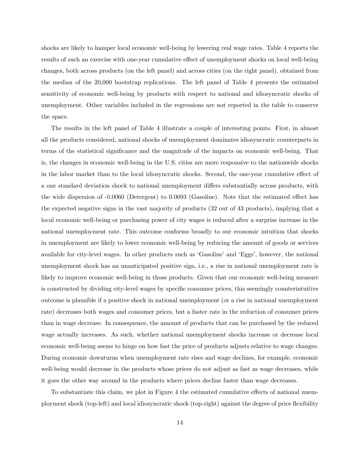shocks are likely to hamper local economic well-being by lowering real wage rates. Table 4 reports the results of such an exercise with one-year cumulative effect of unemployment shocks on local well-being changes, both across products (on the left panel) and across cities (on the right panel), obtained from the median of the 20,000 bootstrap replications. The left panel of Table 4 presents the estimated sensitivity of economic well-being by products with respect to national and idiosyncratic shocks of unemployment. Other variables included in the regressions are not reported in the table to conserve the space.

The results in the left panel of Table 4 illustrate a couple of interesting points. First, in almost all the products considered, national shocks of unemployment dominates idiosyncratic counterparts in terms of the statistical significance and the magnitude of the impacts on economic well-being. That is, the changes in economic well-being in the U.S. cities are more responsive to the nationwide shocks in the labor market than to the local idiosyncratic shocks. Second, the one-year cumulative effect of a one standard deviation shock to national unemployment differs substantially across products, with the wide dispersion of  $-0.0060$  (Detergent) to  $0.0093$  (Gasoline). Note that the estimated effect has the expected negative signs in the vast majority of products (32 out of 43 products), implying that a local economic well-being or purchasing power of city wages is reduced after a surprise increase in the national unemployment rate. This outcome conforms broadly to our economic intuition that shocks in unemployment are likely to lower economic well-being by reducing the amount of goods or services available for city-level wages. In other products such as 'Gasoline' and 'Eggs', however, the national unemployment shock has an unanticipated positive sign, i.e., a rise in national unemployment rate is likely to improve economic well-being in those products. Given that our economic well-being measure is constructed by dividing city-level wages by specific consumer prices, this seemingly counterintuitive outcome is plausible if a positive shock in national unemployment (or a rise in national unemployment rate) decreases both wages and consumer prices, but a faster rate in the reduction of consumer prices than in wage decrease. In consequence, the amount of products that can be purchased by the reduced wage actually increases. As such, whether national unemployment shocks increase or decrease local economic well-being seems to hinge on how fast the price of products adjusts relative to wage changes. During economic downturns when unemployment rate rises and wage declines, for example, economic well-being would decrease in the products whose prices do not adjust as fast as wage decreases, while it goes the other way around in the products where prices decline faster than wage decreases.

To substantiate this claim, we plot in Figure 4 the estimated cumulative effects of national unemployment shock (top-left) and local idiosyncratic shock (top-right) against the degree of price flexibility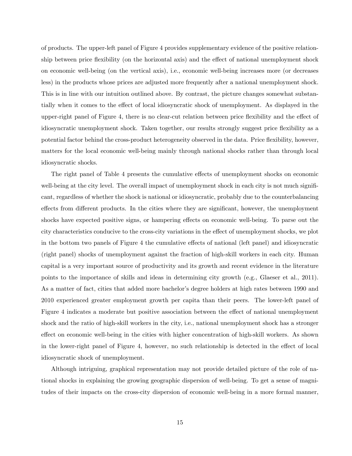of products. The upper-left panel of Figure 4 provides supplementary evidence of the positive relationship between price flexibility (on the horizontal axis) and the effect of national unemployment shock on economic well-being (on the vertical axis), i.e., economic well-being increases more (or decreases less) in the products whose prices are adjusted more frequently after a national unemployment shock. This is in line with our intuition outlined above. By contrast, the picture changes somewhat substantially when it comes to the effect of local idiosyncratic shock of unemployment. As displayed in the upper-right panel of Figure 4, there is no clear-cut relation between price flexibility and the effect of idiosyncratic unemployment shock. Taken together, our results strongly suggest price flexibility as a potential factor behind the cross-product heterogeneity observed in the data. Price flexibility, however, matters for the local economic well-being mainly through national shocks rather than through local idiosyncratic shocks.

The right panel of Table 4 presents the cumulative effects of unemployment shocks on economic well-being at the city level. The overall impact of unemployment shock in each city is not much significant, regardless of whether the shock is national or idiosyncratic, probably due to the counterbalancing effects from different products. In the cities where they are significant, however, the unemployment shocks have expected positive signs, or hampering effects on economic well-being. To parse out the city characteristics conducive to the cross-city variations in the effect of unemployment shocks, we plot in the bottom two panels of Figure 4 the cumulative effects of national (left panel) and idiosyncratic (right panel) shocks of unemployment against the fraction of high-skill workers in each city. Human capital is a very important source of productivity and its growth and recent evidence in the literature points to the importance of skills and ideas in determining city growth (e.g., Glaeser et al., 2011). As a matter of fact, cities that added more bachelor's degree holders at high rates between 1990 and 2010 experienced greater employment growth per capita than their peers. The lower-left panel of Figure 4 indicates a moderate but positive association between the effect of national unemployment shock and the ratio of high-skill workers in the city, i.e., national unemployment shock has a stronger effect on economic well-being in the cities with higher concentration of high-skill workers. As shown in the lower-right panel of Figure 4, however, no such relationship is detected in the effect of local idiosyncratic shock of unemployment.

Although intriguing, graphical representation may not provide detailed picture of the role of national shocks in explaining the growing geographic dispersion of well-being. To get a sense of magnitudes of their impacts on the cross-city dispersion of economic well-being in a more formal manner,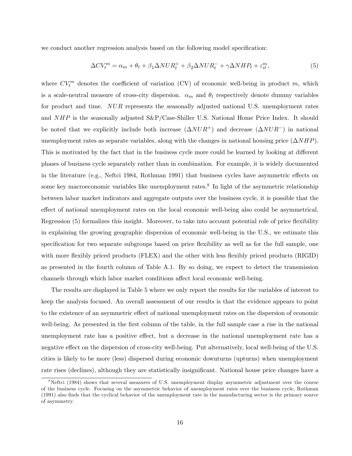we conduct another regression analysis based on the following model specification:

$$
\Delta CV_t^m = \alpha_m + \theta_t + \beta_1 \Delta NUR_t^+ + \beta_2 \Delta NUR_t^- + \gamma \Delta NHP_t + \varepsilon_{it}^m,\tag{5}
$$

where  $CV_t^m$  denotes the coefficient of variation (CV) of economic well-being in product m, which is a scale-neutral measure of cross-city dispersion.  $\alpha_m$  and  $\theta_t$  respectively denote dummy variables for product and time. NUR represents the seasonally adjusted national U.S. unemployment rates and  $NHP$  is the seasonally adjusted  $S\&P/Case-Shiller U.S. National Home Price Index. It should$ be noted that we explicitly include both increase  $(\Delta NUR^+)$  and decrease  $(\Delta NUR^-)$  in national unemployment rates as separate variables, along with the changes in national housing price  $(\Delta NHP)$ . This is motivated by the fact that in the business cycle more could be learned by looking at different phases of business cycle separately rather than in combination. For example, it is widely documented in the literature (e.g., Neftci 1984, Rothman 1991) that business cycles have asymmetric effects on some key macroeconomic variables like unemployment rates.<sup>8</sup> In light of the asymmetric relationship between labor market indicators and aggregate outputs over the business cycle, it is possible that the effect of national unemployment rates on the local economic well-being also could be asymmetrical. Regression (5) formalizes this insight. Moreover, to take into account potential role of price flexibility in explaining the growing geographic dispersion of economic well-being in the U.S., we estimate this specification for two separate subgroups based on price flexibility as well as for the full sample, one with more flexibly priced products (FLEX) and the other with less flexibly priced products (RIGID) as presented in the fourth column of Table A.1. By so doing, we expect to detect the transmission channels through which labor market conditions affect local economic well-being.

The results are displayed in Table 5 where we only report the results for the variables of interest to keep the analysis focused. An overall assessment of our results is that the evidence appears to point to the existence of an asymmetric effect of national unemployment rates on the dispersion of economic well-being. As presented in the first column of the table, in the full sample case a rise in the national unemployment rate has a positive effect, but a decrease in the national unemployment rate has a negative effect on the dispersion of cross-city well-being. Put alternatively, local well-being of the U.S. cities is likely to be more (less) dispersed during economic downturns (upturns) when unemployment rate rises (declines), although they are statistically insignificant. National house price changes have a

<sup>&</sup>lt;sup>8</sup>Neftci (1984) shows that several measures of U.S. unemployment display asymmetric adjustment over the course of the business cycle. Focusing on the asymmetric behavior of unemployment rates over the business cycle, Rothman (1991) also Önds that the cyclical behavior of the unemployment rate in the manufacturing sector is the primary source of asymmetry.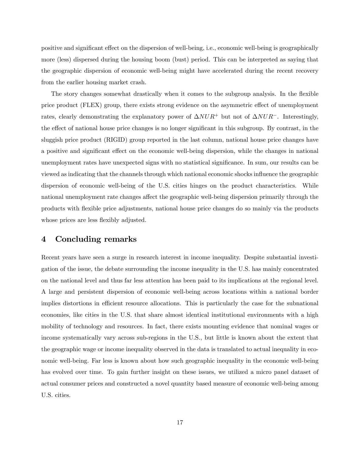positive and significant effect on the dispersion of well-being, i.e., economic well-being is geographically more (less) dispersed during the housing boom (bust) period. This can be interpreted as saying that the geographic dispersion of economic well-being might have accelerated during the recent recovery from the earlier housing market crash.

The story changes somewhat drastically when it comes to the subgroup analysis. In the flexible price product (FLEX) group, there exists strong evidence on the asymmetric effect of unemployment rates, clearly demonstrating the explanatory power of  $\Delta NUR^+$  but not of  $\Delta NUR^-$ . Interestingly, the effect of national house price changes is no longer significant in this subgroup. By contrast, in the sluggish price product (RIGID) group reported in the last column, national house price changes have a positive and significant effect on the economic well-being dispersion, while the changes in national unemployment rates have unexpected signs with no statistical significance. In sum, our results can be viewed as indicating that the channels through which national economic shocks ináuence the geographic dispersion of economic well-being of the U.S. cities hinges on the product characteristics. While national unemployment rate changes affect the geographic well-being dispersion primarily through the products with áexible price adjustments, national house price changes do so mainly via the products whose prices are less flexibly adjusted.

### 4 Concluding remarks

Recent years have seen a surge in research interest in income inequality. Despite substantial investigation of the issue, the debate surrounding the income inequality in the U.S. has mainly concentrated on the national level and thus far less attention has been paid to its implications at the regional level. A large and persistent dispersion of economic well-being across locations within a national border implies distortions in efficient resource allocations. This is particularly the case for the subnational economies, like cities in the U.S. that share almost identical institutional environments with a high mobility of technology and resources. In fact, there exists mounting evidence that nominal wages or income systematically vary across sub-regions in the U.S., but little is known about the extent that the geographic wage or income inequality observed in the data is translated to actual inequality in economic well-being. Far less is known about how such geographic inequality in the economic well-being has evolved over time. To gain further insight on these issues, we utilized a micro panel dataset of actual consumer prices and constructed a novel quantity based measure of economic well-being among U.S. cities.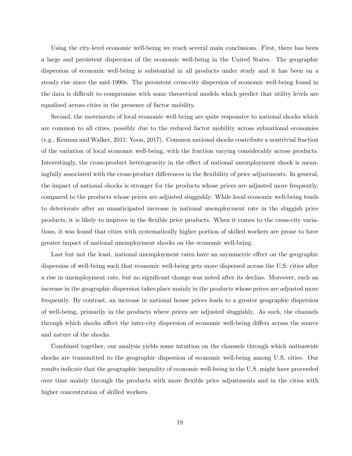Using the city-level economic well-being we reach several main conclusions. First, there has been a large and persistent dispersion of the economic well-being in the United States. The geographic dispersion of economic well-being is substantial in all products under study and it has been on a steady rise since the mid-1990s. The persistent cross-city dispersion of economic well-being found in the data is difficult to compromise with some theoretical models which predict that utility levels are equalized across cities in the presence of factor mobility.

Second, the movements of local economic well-being are quite responsive to national shocks which are common to all cities, possibly due to the reduced factor mobility across subnational economies (e.g., Kennan and Walker, 2011; Yoon, 2017). Common national shocks contribute a nontrivial fraction of the variation of local economic well-being, with the fraction varying considerably across products. Interestingly, the cross-product heterogeneity in the effect of national unemployment shock is meaningfully associated with the cross-product differences in the flexibility of price adjustments. In general, the impact of national shocks is stronger for the products whose prices are adjusted more frequently, compared to the products whose prices are adjusted sluggishly. While local economic well-being tends to deteriorate after an unanticipated increase in national unemployment rate in the sluggish price products, it is likely to improve in the áexible price products. When it comes to the cross-city variations, it was found that cities with systematically higher portion of skilled workers are prone to have greater impact of national unemployment shocks on the economic well-being.

Last but not the least, national unemployment rates have an asymmetric effect on the geographic dispersion of well-being such that economic well-being gets more dispersed across the U.S. cities after a rise in unemployment rate, but no significant change was noted after its decline. Moreover, such an increase in the geographic dispersion takes place mainly in the products whose prices are adjusted more frequently. By contrast, an increase in national house prices leads to a greater geographic dispersion of well-being, primarily in the products where prices are adjusted sluggishly. As such, the channels through which shocks affect the inter-city dispersion of economic well-being differs across the source and nature of the shocks.

Combined together, our analysis yields some intuition on the channels through which nationwide shocks are transmitted to the geographic dispersion of economic well-being among U.S. cities. Our results indicate that the geographic inequality of economic well-being in the U.S. might have proceeded over time mainly through the products with more flexible price adjustments and in the cities with higher concentration of skilled workers.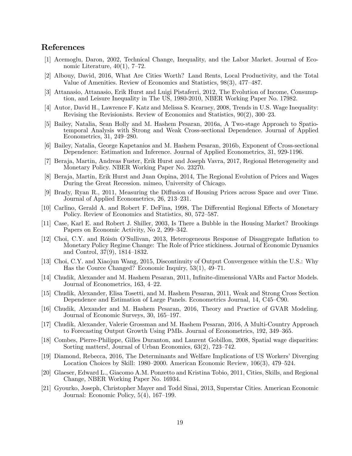### References

- [1] Acemoglu, Daron, 2002, Technical Change, Inequality, and the Labor Market. Journal of Economic Literature,  $40(1)$ , 7–72.
- [2] Albouy, David, 2016, What Are Cities Worth? Land Rents, Local Productivity, and the Total Value of Amenities. Review of Economics and Statistics, 98(3), 477-487.
- [3] Attanasio, Attanasio, Erik Hurst and Luigi Pistaferri, 2012, The Evolution of Income, Consumption, and Leisure Inequality in The US, 1980-2010, NBER Working Paper No. 17982.
- [4] Autor, David H., Lawrence F. Katz and Melissa S. Kearney, 2008, Trends in U.S. Wage Inequality: Revising the Revisionists. Review of Economics and Statistics,  $90(2)$ ,  $300-23$ .
- [5] Bailey, Natalia, Sean Holly and M. Hashem Pesaran, 2016a, A Two-stage Approach to Spatiotemporal Analysis with Strong and Weak Cross-sectional Dependence. Journal of Applied Econometrics,  $31, 249-280$ .
- [6] Bailey, Natalia, George Kapetanios and M. Hashem Pesaran, 2016b, Exponent of Cross-sectional Dependence: Estimation and Inference. Journal of Applied Econometrics, 31, 929-1196.
- [7] Beraja, Martin, Andreas Fuster, Erik Hurst and Joseph Vavra, 2017, Regional Heterogeneity and Monetary Policy. NBER Working Paper No. 23270.
- [8] Beraja, Martin, Erik Hurst and Juan Ospina, 2014, The Regional Evolution of Prices and Wages During the Great Recession. mimeo, University of Chicago.
- [9] Brady, Ryan R., 2011, Measuring the Diffusion of Housing Prices across Space and over Time. Journal of Applied Econometrics, 26, 213–231.
- [10] Carlino, Gerald A. and Robert F. DeFina, 1998, The Differential Regional Effects of Monetary Policy. Review of Economics and Statistics, 80, 572–587.
- [11] Case, Karl E. and Robert J. Shiller, 2003, Is There a Bubble in the Housing Market? Brookings Papers on Economic Activity, No 2, 299–342.
- [12] Choi, C.Y. and Róisín O'Sullivan, 2013, Heterogeneous Response of Disaggregate Inflation to Monetary Policy Regime Change: The Role of Price stickiness. Journal of Economic Dynamics and Control,  $37(9)$ ,  $1814-1832$ .
- [13] Choi, C.Y. and Xiaojun Wang, 2015, Discontinuity of Output Convergence within the U.S.: Why Has the Cource Changed? Economic Inquiry,  $53(1)$ ,  $49-71$ .
- [14] Chudik, Alexander and M. Hashem Pesaran, 2011, Infinite-dimensional VARs and Factor Models. Journal of Econometrics,  $163, 4-22$ .
- [15] Chudik, Alexander, Elisa Tosetti, and M. Hashem Pesaran, 2011, Weak and Strong Cross Section Dependence and Estimation of Large Panels. Econometrics Journal, 14, C45–C90.
- [16] Chudik, Alexander and M. Hashem Pesaran, 2016, Theory and Practice of GVAR Modeling. Journal of Economic Surveys, 30, 165–197.
- [17] Chudik, Alexander, Valerie Grossman and M. Hashem Pesaran, 2016, A Multi-Country Approach to Forecasting Output Growth Using PMIs. Journal of Econometrics, 192, 349–365.
- [18] Combes, Pierre-Philippe, Gilles Duranton, and Laurent Gobillon, 2008, Spatial wage disparities: Sorting matters!, Journal of Urban Economics,  $63(2)$ ,  $723-742$ .
- [19] Diamond, Rebecca, 2016, The Determinants and Welfare Implications of US Workers' Diverging Location Choices by Skill: 1980–2000. American Economic Review,  $106(3)$ , 479–524.
- [20] Glaeser, Edward L., Giacomo A.M. Ponzetto and Kristina Tobio, 2011, Cities, Skills, and Regional Change, NBER Working Paper No. 16934.
- [21] Gyourko, Joseph, Christopher Mayer and Todd Sinai, 2013, Superstar Cities. American Economic Journal: Economic Policy,  $5(4)$ ,  $167-199$ .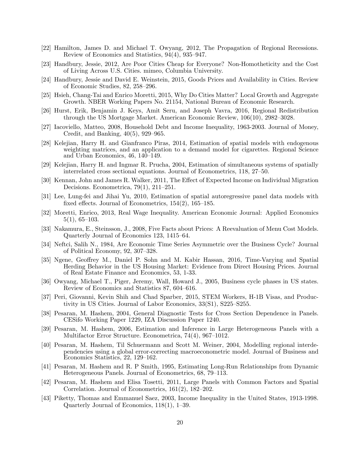- [22] Hamilton, James D. and Michael T. Owyang, 2012, The Propagation of Regional Recessions. Review of Economics and Statistics,  $94(4)$ ,  $935-947$ .
- [23] Handbury, Jessie, 2012, Are Poor Cities Cheap for Everyone? Non-Homotheticity and the Cost of Living Across U.S. Cities. mimeo, Columbia University.
- [24] Handbury, Jessie and David E. Weinstein, 2015, Goods Prices and Availability in Cities. Review of Economic Studies,  $82, 258-296$ .
- [25] Hsieh, Chang-Tai and Enrico Moretti, 2015, Why Do Cities Matter? Local Growth and Aggregate Growth. NBER Working Papers No. 21154, National Bureau of Economic Research.
- [26] Hurst, Erik, Benjamin J. Keys, Amit Seru, and Joseph Vavra, 2016, Regional Redistribution through the US Mortgage Market. American Economic Review,  $106(10)$ ,  $2982-3028$ .
- [27] Iacoviello, Matteo, 2008, Household Debt and Income Inequality, 1963-2003. Journal of Money, Credit, and Banking,  $40(5)$ ,  $929-965$ .
- [28] Kelejian, Harry H. and Gianfranco Piras, 2014, Estimation of spatial models with endogenous weighting matrices, and an application to a demand model for cigarettes. Regional Science and Urban Economics,  $46, 140-149$ .
- [29] Kelejian, Harry H. and Ingmar R. Prucha, 2004, Estimation of simultaneous systems of spatially interrelated cross sectional equations. Journal of Econometrics,  $118$ ,  $27-50$ .
- [30] Kennan, John and James R. Walker, 2011, The Effect of Expected Income on Individual Migration Decisions. Econometrica,  $79(1)$ ,  $211-251$ .
- [31] Lee, Lung-fei and Jihai Yu, 2010, Estimation of spatial autoregressive panel data models with fixed effects. Journal of Econometrics,  $154(2)$ ,  $165-185$ .
- [32] Moretti, Enrico, 2013, Real Wage Inequality. American Economic Journal: Applied Economics  $5(1), 65-103.$
- [33] Nakamura, E., Steinsson, J., 2008, Five Facts about Prices: A Reevaluation of Menu Cost Models. Quarterly Journal of Economics 123, 1415–64.
- [34] Neftci, Salih N., 1984, Are Economic Time Series Asymmetric over the Business Cycle? Journal of Political Economy,  $92, 307-328$ .
- [35] Ngene, Geoffrey M., Daniel P. Sohn and M. Kabir Hassan, 2016, Time-Varying and Spatial Herding Behavior in the US Housing Market: Evidence from Direct Housing Prices. Journal of Real Estate Finance and Economics, 53, 1-33.
- [36] Owyang, Michael T., Piger, Jeremy, Wall, Howard J., 2005, Business cycle phases in US states. Review of Economics and Statistics 87, 604–616.
- [37] Peri, Giovanni, Kevin Shih and Chad Sparber, 2015, STEM Workers, H-1B Visas, and Productivity in US Cities. Journal of Labor Economics,  $33(S1)$ ,  $S225-S255$ .
- [38] Pesaran, M. Hashem, 2004, General Diagnostic Tests for Cross Section Dependence in Panels. CESifo Working Paper 1229, IZA Discussion Paper 1240.
- [39] Pesaran, M. Hashem, 2006, Estimation and Inference in Large Heterogeneous Panels with a Multifactor Error Structure. Econometrica,  $74(4)$ ,  $967-1012$ .
- [40] Pesaran, M. Hashem, Til Schuermann and Scott M. Weiner, 2004, Modelling regional interdependencies using a global error-correcting macroeconometric model. Journal of Business and Economics Statistics, 22, 129–162.
- [41] Pesaran, M. Hashem and R. P Smith, 1995, Estimating Long-Run Relationships from Dynamic Heterogeneous Panels. Journal of Econometrics, 68, 79–113.
- [42] Pesaran, M. Hashem and Elisa Tosetti, 2011, Large Panels with Common Factors and Spatial Correlation. Journal of Econometrics,  $161(2)$ ,  $182-202$ .
- [43] Piketty, Thomas and Emmanuel Saez, 2003, Income Inequality in the United States, 1913-1998. Quarterly Journal of Economics,  $118(1)$ ,  $1-39$ .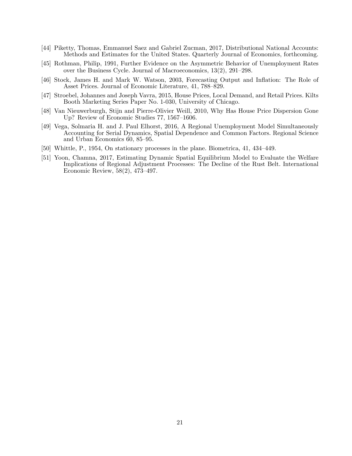- [44] Piketty, Thomas, Emmanuel Saez and Gabriel Zucman, 2017, Distributional National Accounts: Methods and Estimates for the United States. Quarterly Journal of Economics, forthcoming.
- [45] Rothman, Philip, 1991, Further Evidence on the Asymmetric Behavior of Unemployment Rates over the Business Cycle. Journal of Macroeconomics,  $13(2)$ ,  $291-298$ .
- [46] Stock, James H. and Mark W. Watson, 2003, Forecasting Output and Inflation: The Role of Asset Prices. Journal of Economic Literature, 41, 788–829.
- [47] Stroebel, Johannes and Joseph Vavra, 2015, House Prices, Local Demand, and Retail Prices. Kilts Booth Marketing Series Paper No. 1-030, University of Chicago.
- [48] Van Nieuwerburgh, Stijn and Pierre-Olivier Weill, 2010, Why Has House Price Dispersion Gone Up? Review of Economic Studies  $77, 1567-1606$ .
- [49] Vega, Solmaria H. and J. Paul Elhorst, 2016, A Regional Unemployment Model Simultaneously Accounting for Serial Dynamics, Spatial Dependence and Common Factors. Regional Science and Urban Economics  $60, 85-95$ .
- $[50]$  Whittle, P., 1954, On stationary processes in the plane. Biometrica, 41, 434–449.
- [51] Yoon, Chamna, 2017, Estimating Dynamic Spatial Equilibrium Model to Evaluate the Welfare Implications of Regional Adjustment Processes: The Decline of the Rust Belt. International Economic Review,  $58(2)$ ,  $473-497$ .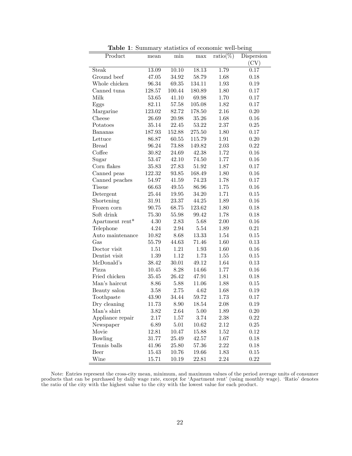| <b>rapic 1.</b> Dummary beautiful of economic well being |           |           |            |                    |            |
|----------------------------------------------------------|-----------|-----------|------------|--------------------|------------|
| Product                                                  | mean      | min       | max        | $\text{ratio}(\%)$ | Dispersion |
|                                                          |           |           |            |                    | (CV)       |
| Steak                                                    | 13.09     | 10.10     | 18.13      | 1.79               | 0.17       |
| Ground beef                                              | 47.05     | 34.92     | 58.79      | 1.68               | 0.18       |
| Whole chicken                                            | 96.34     | $69.35\,$ | 134.11     | 1.93               | 0.19       |
| Canned tuna                                              | 128.57    | 100.44    | 180.89     | 1.80               | 0.17       |
| Milk                                                     | 53.65     | 41.10     | 69.98      | 1.70               | 0.17       |
| Eggs                                                     | 82.11     | $57.58\,$ | 105.08     | 1.82               | 0.17       |
| Margarine                                                | 123.02    | 82.72     | 178.50     | 2.16               | 0.20       |
| Cheese                                                   | 26.69     | 20.98     | 35.26      | 1.68               | 0.16       |
| Potatoes                                                 | 35.14     | $22.45\,$ | 53.22      | 2.37               | 0.25       |
| Bananas                                                  | 187.93    | 152.88    | 275.50     | 1.80               | 0.17       |
| Lettuce                                                  | 86.87     | 60.55     | 115.79     | 1.91               | 0.20       |
| <b>Bread</b>                                             | 96.24     | 73.88     | 149.82     | 2.03               | $0.22\,$   |
| Coffee                                                   | 30.82     | $24.69\,$ | 42.38      | 1.72               | 0.16       |
| Sugar                                                    | $53.47\,$ | $42.10\,$ | 74.50      | 1.77               | 0.16       |
| Corn flakes                                              | 35.83     | 27.83     | 51.92      | 1.87               | 0.17       |
| Canned peas                                              | 122.32    | 93.85     | 168.49     | 1.80               | 0.16       |
| Canned peaches                                           | 54.97     | 41.59     | 74.23      | 1.78               | 0.17       |
| <b>Tissue</b>                                            | 66.63     | 49.55     | 86.96      | 1.75               | 0.16       |
| Detergent                                                | 25.44     | 19.95     | 34.20      | 1.71               | 0.15       |
| Shortening                                               | 31.91     | 23.37     | 44.25      | 1.89               | 0.16       |
| Frozen corn                                              | 90.75     | 68.75     | $123.62\,$ | 1.80               | 0.18       |
| Soft drink                                               | 75.30     | $55.98\,$ | 99.42      | 1.78               | 0.18       |
| Apartment rent*                                          | 4.30      | 2.83      | 5.68       | 2.00               | 0.16       |
| Telephone                                                | 4.24      | $2.94\,$  | 5.54       | 1.89               | 0.21       |
| Auto maintenance                                         | 10.82     | 8.68      | 13.33      | 1.54               | 0.15       |
| Gas                                                      | 55.79     | 44.63     | 71.46      | 1.60               | 0.13       |
| Doctor visit                                             | 1.51      | $1.21\,$  | 1.93       | 1.60               | 0.16       |
| Dentist visit                                            | 1.39      | $1.12\,$  | 1.73       | 1.55               | 0.15       |
| McDonald's                                               | 38.42     | 30.01     | 49.12      | 1.64               | 0.13       |
| Pizza                                                    | 10.45     | 8.28      | 14.66      | 1.77               | 0.16       |
| Fried chicken                                            | 35.45     | $26.42\,$ | 47.91      | 1.81               | 0.18       |
| Man's haircut                                            | 8.86      | 5.88      | 11.06      | 1.88               | 0.15       |
| Beauty salon                                             | 3.58      | 2.75      | 4.62       | 1.68               | 0.19       |
| Toothpaste                                               | 43.90     | $34.44\,$ | 59.72      | 1.73               | 0.17       |
| Dry cleaning                                             | 11.73     | 8.90      | 18.54      | 2.08               | 0.19       |
| Man's shirt                                              | 3.82      | 2.64      | 5.00       | 1.89               | 0.20       |
| Appliance repair                                         | 2.17      | 1.57      | 3.74       | 2.38               | 0.22       |
| Newspaper                                                | 6.89      | 5.01      | 10.62      | 2.12               | 0.25       |
| Movie                                                    | 12.81     | 10.47     | 15.88      | 1.52               | 0.12       |
| Bowling                                                  | 31.77     | 25.49     | 42.57      | 1.67               | 0.18       |
| Tennis balls                                             | 41.96     | 25.80     | 57.36      | 2.22               | 0.18       |
| Beer                                                     | 15.43     | 10.76     | 19.66      | 1.83               | $0.15\,$   |
| Wine                                                     | 15.71     | 10.19     | 22.81      | $2.24\,$           | $0.22\,$   |

Table 1: Summary statistics of economic well-being

Note: Entries represent the cross-city mean, minimum, and maximum values of the period average units of consumer products that can be purchased by daily wage rate, except for 'Apartment rent' (using monthly wage). 'Ratio' denotes the ratio of the city with the highest value to the city with the lowest value for each product.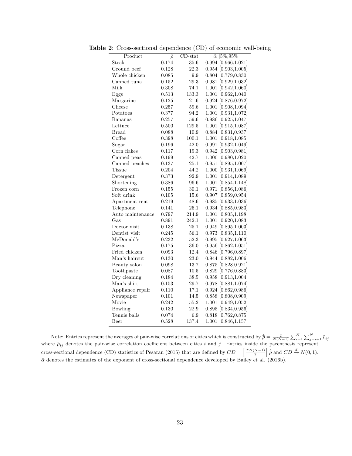| Product          | $\bar{\rho}$ | $\overline{\mathrm{CD}}$ -stat | $\hat{\alpha}$ [5\%,95\%] |
|------------------|--------------|--------------------------------|---------------------------|
| Steak            | 0.174        | $\overline{35.6}$              | $0.994$ [0.966,1.021]     |
| Ground beef      | 0.128        | 22.3                           | $0.954$ [0.903,1.005]     |
| Whole chicken    | 0.085        | $\rm 9.9$                      | $0.804$ [0.779,0.830]     |
| Canned tuna      | 0.152        | 29.3                           | $0.981$ [0.929,1.032]     |
| Milk             | 0.308        | 74.1                           | 1.001 [0.942,1.060]       |
| Eggs             | 0.513        | 133.3                          | $1.001$ [0.962,1.040]     |
| Margarine        | 0.125        | 21.6                           | 0.924 [0.876,0.972]       |
| Cheese           | 0.257        | 59.6                           | 1.001 [0.908,1.094]       |
| Potatoes         | 0.377        | 94.2                           | $1.001$ [0.931,1.072]     |
| Bananas          | 0.257        | 59.6                           | $0.986$ [0.925,1.047]     |
| Lettuce          | 0.500        | 129.5                          | 1.001 [0.915,1.087]       |
| <b>Bread</b>     | 0.088        | 10.9                           | $0.884$ [0.831,0.937]     |
| Coffee           | 0.398        | 100.1                          | 1.001 [0.918,1.085]       |
| Sugar            | 0.196        | 42.0                           | $0.991$ [0.932,1.049]     |
| Corn flakes      | 0.117        | $19.3\,$                       | 0.942 [0.903, 0.981]      |
| Canned peas      | $\rm 0.199$  | 42.7                           | 1.000 [0.980,1.020]       |
| Canned peaches   | 0.137        | 25.1                           | $0.951$ [0.895,1.007]     |
| Tissue           | 0.204        | 44.2                           | 1.000 [0.931,1.069]       |
| Detergent        | 0.373        | 92.9                           | 1.001 [0.914,1.089]       |
| Shortening       | 0.386        | 96.6                           | 1.001 [0.854,1.148]       |
| Frozen corn      | 0.155        | 30.1                           | 0.971 [0.856,1.086]       |
| Soft drink       | 0.105        | 15.6                           | $0.907$ [0.859,0.954]     |
| Apartment rent   | 0.219        | 48.6                           | $0.985$ [0.933,1.036]     |
| Telephone        | 0.141        | 26.1                           | 0.934 [0.885, 0.983]      |
| Auto maintenance | 0.797        | 214.9                          | 1.001 [0.805,1.198]       |
| Gas              | 0.891        | 242.1                          | $1.001$ [0.920,1.083]     |
| Doctor visit     | 0.138        | 25.1                           | $0.949$ [0.895,1.003]     |
| Dentist visit    | 0.245        | 56.1                           | $0.973$ [0.835,1.110]     |
| McDonald's       | 0.232        | 52.3                           | $0.995$ [0.927,1.063]     |
| Pizza            | 0.175        | 36.0                           | $0.956$ [0.862,1.051]     |
| Fried chicken    | 0.093        | 12.4                           | 0.846 [0.796,0.897]       |
| Man's haircut    | 0.130        | 23.0                           | $0.944$ [0.882,1.006]     |
| Beauty salon     | 0.098        | 13.7                           | $0.875$ [0.828,0.921]     |
| Toothpaste       | 0.087        | 10.5                           | 0.829 [0.776,0.883]       |
| Dry cleaning     | 0.184        | $38.5\,$                       | $0.958$ [0.913,1.004]     |
| Man's shirt      | 0.153        | 29.7                           | $0.978$ [0.881,1.074]     |
| Appliance repair | 0.110        | 17.1                           | $0.924$ [0.862,0.986]     |
| Newspaper        | 0.101        | 14.5                           | $0.858$ [0.808,0.909]     |
| Movie            | 0.242        | 55.2                           | 1.001 [0.949,1.052]       |
| Bowling          | 0.130        | 22.9                           | $0.895$ [0.834,0.956]     |
| Tennis balls     | 0.074        | 6.9                            | $0.818$ [0.762,0.875]     |
| Beer             | 0.528        | 137.4                          | 1.001 [0.846,1.157]       |

Table 2: Cross-sectional dependence (CD) of economic well-being

Note: Entries represent the averages of pair-wise correlations of cities which is constructed by  $\hat{\rho} = \frac{2}{N(N-1)} \sum_{i=1}^{N} \sum_{j=i+1}^{N} \hat{\rho}_{ij}$ where  $\hat{\rho}_{ij}$  denotes the pair-wise correlation coefficient between cities i and j. Entries inside the parenthesis represent cross-sectional dependence (CD) statistics of Pesaran (2015) that are defined by  $CD = \left[\frac{TN(N-1)}{2}\right]\hat{\rho}$  and  $CD \stackrel{d}{\rightarrow} N(0, 1)$ .  $\hat{\alpha}$  denotes the estimates of the exponent of cross-sectional dependence developed by Bailey et al. (2016b).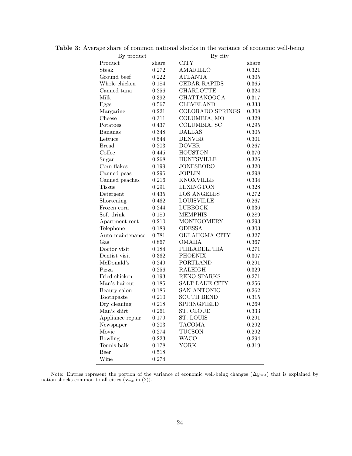| By product       |           | By city             |       |  |  |
|------------------|-----------|---------------------|-------|--|--|
| Product          | share     | <b>CITY</b>         | share |  |  |
| Steak            | 0.272     | <b>AMARILLO</b>     | 0.321 |  |  |
| Ground beef      | 0.222     | <b>ATLANTA</b>      | 0.305 |  |  |
| Whole chicken    | 0.184     | <b>CEDAR RAPIDS</b> | 0.365 |  |  |
| Canned tuna      | 0.256     | <b>CHARLOTTE</b>    | 0.324 |  |  |
| Milk             | 0.392     | <b>CHATTANOOGA</b>  | 0.317 |  |  |
| Eggs             | 0.567     | <b>CLEVELAND</b>    | 0.333 |  |  |
| Margarine        | 0.221     | COLORADO SPRINGS    | 0.308 |  |  |
| Cheese           | 0.311     | COLUMBIA, MO        | 0.329 |  |  |
| Potatoes         | 0.437     | COLUMBIA, SC        | 0.295 |  |  |
| Bananas          | 0.348     | <b>DALLAS</b>       | 0.305 |  |  |
| Lettuce          | 0.544     | <b>DENVER</b>       | 0.301 |  |  |
| <b>Bread</b>     | 0.203     | <b>DOVER</b>        | 0.267 |  |  |
| Coffee           | 0.445     | <b>HOUSTON</b>      | 0.370 |  |  |
| Sugar            | 0.268     | <b>HUNTSVILLE</b>   | 0.326 |  |  |
| Corn flakes      | 0.199     | <b>JONESBORO</b>    | 0.320 |  |  |
| Canned peas      | 0.296     | <b>JOPLIN</b>       | 0.298 |  |  |
| Canned peaches   | 0.216     | <b>KNOXVILLE</b>    | 0.334 |  |  |
| <b>Tissue</b>    | 0.291     | <b>LEXINGTON</b>    | 0.328 |  |  |
| Detergent        | 0.435     | <b>LOS ANGELES</b>  | 0.272 |  |  |
| Shortening       | 0.462     | <b>LOUISVILLE</b>   | 0.267 |  |  |
| Frozen corn      | 0.244     | <b>LUBBOCK</b>      | 0.336 |  |  |
| Soft drink       | 0.189     | <b>MEMPHIS</b>      | 0.289 |  |  |
| Apartment rent   | 0.210     | <b>MONTGOMERY</b>   | 0.293 |  |  |
| Telephone        | 0.189     | <b>ODESSA</b>       | 0.303 |  |  |
| Auto maintenance | 0.781     | OKLAHOMA CITY       | 0.327 |  |  |
| Gas              | 0.867     | <b>OMAHA</b>        | 0.367 |  |  |
| Doctor visit     | 0.184     | PHILADELPHIA        | 0.271 |  |  |
| Dentist visit    | 0.362     | <b>PHOENIX</b>      | 0.307 |  |  |
| McDonald's       | 0.249     | <b>PORTLAND</b>     | 0.291 |  |  |
| Pizza            | 0.256     | <b>RALEIGH</b>      | 0.329 |  |  |
| Fried chicken    | $0.193\,$ | RENO-SPARKS         | 0.271 |  |  |
| Man's haircut    | 0.185     | SALT LAKE CITY      | 0.256 |  |  |
| Beauty salon     | 0.186     | SAN ANTONIO         | 0.262 |  |  |
| Toothpaste       | 0.210     | <b>SOUTH BEND</b>   | 0.315 |  |  |
| Dry cleaning     | 0.218     | SPRINGFIELD         | 0.269 |  |  |
| Man's shirt      | 0.261     | ST. CLOUD           | 0.333 |  |  |
| Appliance repair | 0.179     | ST. LOUIS           | 0.291 |  |  |
| Newspaper        | 0.203     | <b>TACOMA</b>       | 0.292 |  |  |
| Movie            | 0.274     | <b>TUCSON</b>       | 0.292 |  |  |
| Bowling          | 0.223     | <b>WACO</b>         | 0.294 |  |  |
| Tennis balls     | 0.178     | YORK                | 0.319 |  |  |
| Beer             | 0.518     |                     |       |  |  |
| Wine             | 0.274     |                     |       |  |  |

Table 3: Average share of common national shocks in the variance of economic well-being

Note: Entries represent the portion of the variance of economic well-being changes  $(\Delta y_{mit})$  that is explained by nation shocks common to all cities  $(\mathbf{v}_{mt} \text{ in } (2)).$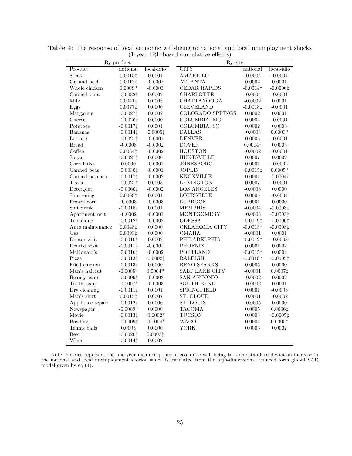|                  | By product  |              | By city                |                  |                  |  |
|------------------|-------------|--------------|------------------------|------------------|------------------|--|
| Product          | national    | $local-idio$ | <b>CITY</b>            | national         | local-idio       |  |
| Steak            | 0.00151     | 0.0001       | <b>AMARILLO</b>        | $-0.0004$        | $-0.0004$        |  |
| Ground beef      | $0.0012$ ‡  | $-0.0002$    | <b>ATLANTA</b>         | $0.0002\,$       | 0.0001           |  |
| Whole chicken    | $0.0008*$   | $-0.0003$    | CEDAR RAPIDS           | $-0.0014\dagger$ | $-0.00061$       |  |
| Canned tuna      | $-0.0032$ ‡ | 0.0002       | CHARLOTTE              | $-0.0004$        | $-0.0001$        |  |
| Milk             | $0.0041$ ‡  | 0.0003       | CHATTANOOGA            | $-0.0002$        | 0.0001           |  |
| Eggs             | $0.0077$ ‡  | 0.0000       | <b>CLEVELAND</b>       | $-0.0018$ ‡      | $-0.0001$        |  |
| Margarine        | $-0.0027$ ‡ | 0.0002       | COLORADO SPRINGS       | 0.0002           | 0.0001           |  |
| Cheese           | $-0.0026$ ‡ | 0.0000       | COLUMBIA, MO           | 0.0004           | $-0.0001$        |  |
| Potatoes         | $-0.0017$ ‡ | 0.0001       | COLUMBIA, SC           | 0.0002           | 0.0003           |  |
| Bananas          | $-0.0014$ ‡ | $-0.00051$   | <b>DALLAS</b>          | $-0.0003$        | $0.0003*$        |  |
| Lettuce          | $-0.0021$ ‡ | $-0.0001$    | $\mbox{D}\mbox{ENVER}$ | 0.0005           | $-0.0001$        |  |
| <b>Bread</b>     | $-0.0008$   | $-0.0002$    | <b>DOVER</b>           | $0.0014\dagger$  | 0.0003           |  |
| Coffee           | 0.00341     | $-0.0002$    | <b>HOUSTON</b>         | $-0.0002$        | $-0.0001$        |  |
| Sugar            | $-0.0021$ ‡ | 0.0000       | <b>HUNTSVILLE</b>      | 0.0007           | 0.0002           |  |
| Corn flakes      | 0.0000      | $-0.0001$    | <b>JONESBORO</b>       | 0.0001           | $-0.0002$        |  |
| Canned peas      | $-0.00301$  | $-0.0001$    | <b>JOPLIN</b>          | $-0.0015$ ‡      | $0.0005*$        |  |
| Canned peaches   | $-0.0017$ ‡ | $-0.0002$    | <b>KNOXVILLE</b>       | 0.0001           | $-0.0004\dagger$ |  |
| <b>Tissue</b>    | $-0.0021$ ‡ | 0.0003       | <b>LEXINGTON</b>       | 0.0007           | $-0.0001$        |  |
| Detergent        | $-0.00601$  | $-0.0002$    | <b>LOS ANGELES</b>     | $-0.0003$        | 0.0000           |  |
| Shortening       | 0.00691     | 0.0001       | <b>LOUISVILLE</b>      | 0.0005           | $-0.0004$        |  |
| Frozen corn      | $-0.0003$   | $-0.0003$    | LUBBOCK                | 0.0001           | 0.0000           |  |
| Soft drink       | $-0.0015$ ‡ | $0.0001\,$   | <b>MEMPHIS</b>         | $-0.0004$        | $-0.0008$ ‡      |  |
| Apartment rent   | $-0.0002$   | $-0.0001$    | MONTGOMERY             | $-0.0003$        | $-0.00031$       |  |
| Telephone        | $-0.0012$ ‡ | $-0.0002$    | <b>ODESSA</b>          | $-0.0019$ ‡      | $-0.00061$       |  |
| Auto maintenance | $0.0048$ ‡  | 0.0000       | OKLAHOMA CITY          | $-0.0013\dagger$ | $-0.0003$ ‡      |  |
| Gas              | 0.00931     | 0.0000       | OMAHA                  | $-0.0001$        | 0.0001           |  |
| Doctor visit     | $-0.00101$  | 0.0002       | PHILADELPHIA           | $-0.0012$ ‡      | $-0.0003$        |  |
| Dentist visit    | $-0.0011$ ‡ | $-0.0002$    | <b>PHOENIX</b>         | 0.0001           | 0.0002           |  |
| McDonald's       | $-0.0016$ ‡ | $-0.0002$    | <b>PORTLAND</b>        | $-0.0015$ ‡      | 0.0004           |  |
| Pizza            | $-0.0013$ ‡ | $-0.0002$ ‡  | RALEIGH                | $-0.0010*$       | $-0.0005$ ‡      |  |
| Fried chicken    | $-0.0013$ ‡ | 0.0000       | RENO-SPARKS            | 0.0005           | 0.0000           |  |
| Man's haircut    | $-0.0005*$  | $0.0004*$    | SALT LAKE CITY         | $-0.0001$        | $0.0007$ ‡       |  |
| Beauty salon     | $-0.0009$ ‡ | $-0.0003$    | <b>SAN ANTONIO</b>     | $-0.0002$        | 0.0002           |  |
| Toothpaste       | $-0.0007*$  | $-0.0003$    | <b>SOUTH BEND</b>      | $-0.0002$        | 0.0001           |  |
| Dry cleaning     | $-0.0011$ ‡ | 0.0001       | SPRINGFIELD            | 0.0001           | $-0.0003$        |  |
| Man's shirt      | 0.00151     | 0.0002       | ST. CLOUD              | $-0.0001$        | $-0.0002$        |  |
| Appliance repair | $-0.0012$ ‡ | 0.0000       | ST. LOUIS              | $-0.0005$        | 0.0000           |  |
| Newspaper        | $-0.0009*$  | 0.0000       | <b>TACOMA</b>          | $0.0005\,$       | 0.00061          |  |
| Movie            | $-0.0013$ ‡ | $-0.0002*$   | TUCSON                 | 0.0003           | $-0.0005$ ‡      |  |
| Bowling          | $-0.0009$ ‡ | $-0.0004*$   | WACO                   | 0.0004           | $0.0005*$        |  |
| Tennis balls     | 0.0003      | 0.0000       | YORK                   | 0.0003           | 0.0002           |  |
| Beer             | $-0.0020$ ‡ | 0.00031      |                        |                  |                  |  |
| Wine             | $-0.0014$ ‡ | 0.0002       |                        |                  |                  |  |

Table 4: The response of local economic well-being to national and local unemployment shocks  $(1$ -year IRF-based cumulative effects)

Note: Entries represent the one-year mean response of economic well-being to a one-standard-deviation increase in the national and local unemployment shocks, which is estimated from the high-dimensional reduced form global VAR model given by eq.(4).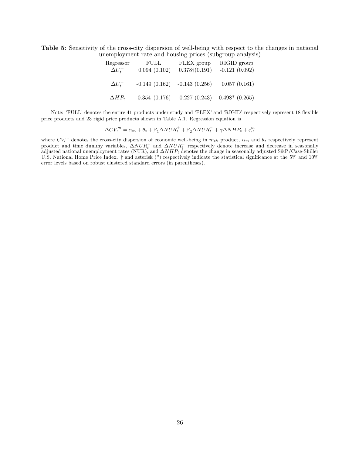|                |                 |                         | nemployment rate and nousing prices (subgroup analysis |
|----------------|-----------------|-------------------------|--------------------------------------------------------|
| Regressor      | FULL            | FLEX group              | RIGID group                                            |
| $\Delta U_t^+$ | 0.094(0.102)    | $0.378 \dagger (0.191)$ | $-0.121(0.092)$                                        |
|                |                 |                         |                                                        |
| $\Delta U_t^-$ | $-0.149(0.162)$ | $-0.143(0.256)$         | 0.057(0.161)                                           |
|                |                 |                         |                                                        |
| $\Delta HP_t$  | 0.354(0.176)    | 0.227(0.243)            | $0.498*$ (0.265)                                       |

Table 5: Sensitivity of the cross-city dispersion of well-being with respect to the changes in national unemployment rate and housing prices (subgroup analysis)

Note: 'FULL' denotes the entire 41 products under study and 'FLEX' and 'RIGID' respectively represent 18 flexible price products and 23 rigid price products shown in Table A.1. Regression equation is

$$
\Delta CV_t^m = \alpha_m + \theta_t + \beta_1 \Delta NUR_t^+ + \beta_2 \Delta NUR_t^- + \gamma \Delta NHP_t + \varepsilon_{it}^m
$$

where  $CV_t^m$  denotes the cross-city dispersion of economic well-being in  $m_{th}$  product,  $\alpha_m$  and  $\theta_t$  respectively represent product and time dummy variables,  $\Delta NUR_t^+$  and  $\Delta NUR_t^-$  respectively denote increase and decrease in seasonally adjusted national unemployment rates (NUR), and  $\Delta NHP_t$  denotes the change in seasonally adjusted S&P/Case-Shiller U.S. National Home Price Index.  $\dagger$  and asterisk (\*) respectively indicate the statistical significance at the 5% and 10% error levels based on robust clustered standard errors (in parentheses).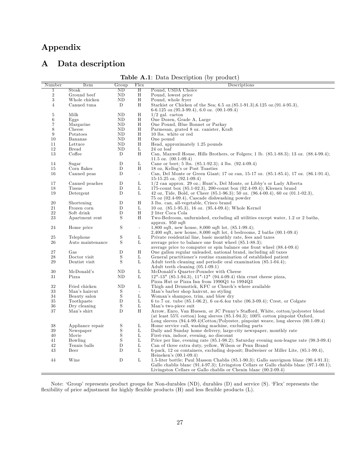# Appendix

## A Data description

Table A.1: Data Description (by product)

| Pound, USDA Choice<br>Steak<br>ND<br>$_{\rm H}$<br>$\mathbf{1}$<br>$\,2$<br>Ground beef<br>ND.<br>Н<br>Pound, lowest price<br>3<br>H<br>Whole chicken<br><b>ND</b><br>Pound, whole fryer<br>Starkist or Chicken of the Sea; 6.5 oz. $(85.1-91.3)$ , 6.125 oz. $(91.4-95.3)$ ,<br>$\overline{4}$<br>Canned tuna<br>D<br>Η<br>$6-6.125$ oz. $(95.3-99.4)$ , 6.0 oz. $(00.1-09.4)$<br>$\rm H$<br>5<br>Milk<br>ND<br>$1/2$ gal. carton<br>One Dozen, Grade A, Large<br>6<br>Eggs<br><b>ND</b><br>Η<br>Margarine<br>One Pound, Blue Bonnet or Parkay<br>7<br>ND<br>Η<br>Η<br>Parmesan, grated 8 oz. canister, Kraft<br>8<br>Cheese<br>ND<br>9<br>Η<br>10 lbs. white or red<br>Potatoes<br>ND<br>H<br>10<br>Bananas<br><b>ND</b><br>One pound<br>Head, approximately 1.25 pounds<br>11<br>Lettuce<br><b>ND</b><br>Η<br>12<br>L<br><b>Bread</b><br>ND<br>24 oz loaf<br>13<br>Coffee<br>Η<br>Can, Maxwell House, Hills Brothers, or Folgers; 1 lb. (85.1-88.3); 13 oz. (88.4-99.4);<br>D<br>11.5 oz. $(00.1-09.4)$<br>D<br>L<br>Cane or beet; 5 lbs. $(85.1-92.3)$ ; 4 lbs. $(92.4-09.4)$<br>14<br>Sugar<br>15<br>Corn flakes<br>D<br>Н<br>18 oz, Kellog's or Post Toasties<br>16<br>Canned peas<br>D<br>Can, Del Monte or Green Giant; 17 oz can, 15-17 oz. (85.1-85.4), 17 oz. (86.1-91.4),<br>$\overline{\phantom{a}}$<br>$15-15.25$ oz. $(92.1-09.4)$<br>L<br>$1/2$ can approx. 29 oz.; Hunt's, Del Monte, or Libby's or Lady Alberta<br>17<br>Canned peaches<br>D<br>D<br>L<br>175-count box $(85.1-02.3)$ , 200-count box $(02.4-09.4)$ ; Kleenex brand<br>18<br>Tissue<br>19<br>D<br>L<br>42 oz, Tide, Bold, or Cheer $(85.1-96.3)$ ; 50 oz. $(96.4-00.4)$ , 60 oz $(01.1-02.3)$ ,<br>Detergent<br>$75 \text{ oz } (02.4-09.4)$ , Cascade dishwashing powder<br>20<br>Shortening<br>D<br>Η<br>3 lbs. can, all-vegetable, Crisco brand<br>21<br>Frozen corn<br>D<br>L<br>10 oz. $(85.1-95.3)$ , 16 oz. $(95.4-09.4)$ ; Whole Kernel<br>$_{\rm H}$<br>22<br>Soft drink<br>D<br>2 liter Coca Cola<br>23<br>S<br>Η<br>Two-Bedroom, unfurnished, excluding all utilities except water, 1.2 or 2 baths,<br>Apartment rent<br>approx. 950 sqft<br>S<br>24<br>Home price<br>1,800 sqft, new house, 8,000 sqft lot, $(85.1-99.4)$ ;<br>$\overline{\phantom{a}}$<br>$2,400$ sqft, new house, $8,000$ sqft lot, 4 bedrooms, 2 baths $(00.1-0.94)$<br>$\mathbf S$<br>25<br>L<br>Private residential line, basic monthly rate, fees and taxes<br>Telephone<br>S<br>26<br>Auto maintenance<br>L<br>average price to balance one front wheel $(85.1-88.3);$<br>average price to computer or spin balance one front wheel (88.4-09.4)<br>27<br>D<br>Н<br>One gallon regular unleaded, national brand, including all taxes<br>Gas<br>S<br>28<br>Doctor visit<br>L<br>General practitioner's routine examination of established patient<br>S<br>29<br>Dentist visit<br>Г<br>Adult teeth cleaning and periodic oral examination (85.1-04.4);<br>Adult teeth cleaning $(05.1-09.1)$<br>L<br>McDonald's Quarter-Pounder with Cheese<br>30<br>ND<br>McDonald's<br>31<br>ND<br>L<br>$12"$ -13" (85.1-94.3), 11"-12" (94.4-09.4) thin crust cheese pizza,<br>Pizza<br>Pizza Hut or Pizza Inn from 1990Q1 to 1994Q3<br>32<br>Fried chicken<br>ND<br>L<br>Thigh and Drumstick, KFC or Church's where available<br>33<br>Man's haircut<br>S<br>Man's barber shop haircut, no styling<br>$\mathbb{L}$<br>S<br>L<br>34<br>Beauty salon<br>Woman's shampoo, trim, and blow dry<br>$35\,$<br>6 to 7 oz. tube $(85.1-06.2)$ , 6 oz-6.4oz tube $(06.3-09.4)$ ; Crest, or Colgate<br>Toothpaste<br>D<br>L<br>S<br>36<br>Dry cleaning<br>L<br>Man's two-piece suit<br>H<br>Arrow, Enro, Van Huesen, or JC Penny's Stafford, White, cotton/polyester blend<br>37<br>Man's shirt<br>D<br>(at least $55\%$ cotton) long sleeves $(85.1-94.3); 100\%$ cotton pinpoint Oxford,<br>Long sleeves $(94.4-99.4)$ Cotton/Polyester, pinpoint weave, long sleeves $(00.1-0.94)$<br>$\mathbf S$<br>38<br>Appliance repair<br>Г<br>Home service call, washing machine, excluding parts<br>$\rm S$<br>39<br>Newspaper<br>L<br>Daily and Sunday home delivery, large-city newspaper, monthly rate<br>S<br>Movie<br>L<br>First-run, indoor, evening, no discount<br>40<br>S<br>Г<br>Price per line, evening rate (85.1-98.2); Saturday evening non-league rate (98.3-09.4)<br>41<br>Bowling<br>Can of three extra duty, yellow, Wilson or Penn Brand<br>42<br>Tennis balls<br>D<br>L<br>43<br>L<br>D<br>6-pack, 12 oz containers, excluding deposit; Budweiser or Miller Lite, (85.1-99.4),<br>Beer<br>Heineken's $(00.1-09.4)$<br>D<br>L<br>1.5-liter bottle; Paul Masson Chablis $(85.1-90.3)$ ; Gallo sauvignon blanc $(90.4-91.3)$ ;<br>44<br>Wine | Number | Item | Group | Flex | Descriptions                                                                                  |
|----------------------------------------------------------------------------------------------------------------------------------------------------------------------------------------------------------------------------------------------------------------------------------------------------------------------------------------------------------------------------------------------------------------------------------------------------------------------------------------------------------------------------------------------------------------------------------------------------------------------------------------------------------------------------------------------------------------------------------------------------------------------------------------------------------------------------------------------------------------------------------------------------------------------------------------------------------------------------------------------------------------------------------------------------------------------------------------------------------------------------------------------------------------------------------------------------------------------------------------------------------------------------------------------------------------------------------------------------------------------------------------------------------------------------------------------------------------------------------------------------------------------------------------------------------------------------------------------------------------------------------------------------------------------------------------------------------------------------------------------------------------------------------------------------------------------------------------------------------------------------------------------------------------------------------------------------------------------------------------------------------------------------------------------------------------------------------------------------------------------------------------------------------------------------------------------------------------------------------------------------------------------------------------------------------------------------------------------------------------------------------------------------------------------------------------------------------------------------------------------------------------------------------------------------------------------------------------------------------------------------------------------------------------------------------------------------------------------------------------------------------------------------------------------------------------------------------------------------------------------------------------------------------------------------------------------------------------------------------------------------------------------------------------------------------------------------------------------------------------------------------------------------------------------------------------------------------------------------------------------------------------------------------------------------------------------------------------------------------------------------------------------------------------------------------------------------------------------------------------------------------------------------------------------------------------------------------------------------------------------------------------------------------------------------------------------------------------------------------------------------------------------------------------------------------------------------------------------------------------------------------------------------------------------------------------------------------------------------------------------------------------------------------------------------------------------------------------------------------------------------------------------------------------------------------------------------------------------------------------------------------------------------------------------------------------------------------------------------------------------------------------------------------------------------------------------------------------------------------------------------------------------------------------------------------------------------------------------------------------------------------------------------------------------------------------------------|--------|------|-------|------|-----------------------------------------------------------------------------------------------|
|                                                                                                                                                                                                                                                                                                                                                                                                                                                                                                                                                                                                                                                                                                                                                                                                                                                                                                                                                                                                                                                                                                                                                                                                                                                                                                                                                                                                                                                                                                                                                                                                                                                                                                                                                                                                                                                                                                                                                                                                                                                                                                                                                                                                                                                                                                                                                                                                                                                                                                                                                                                                                                                                                                                                                                                                                                                                                                                                                                                                                                                                                                                                                                                                                                                                                                                                                                                                                                                                                                                                                                                                                                                                                                                                                                                                                                                                                                                                                                                                                                                                                                                                                                                                                                                                                                                                                                                                                                                                                                                                                                                                                                                                                                    |        |      |       |      |                                                                                               |
|                                                                                                                                                                                                                                                                                                                                                                                                                                                                                                                                                                                                                                                                                                                                                                                                                                                                                                                                                                                                                                                                                                                                                                                                                                                                                                                                                                                                                                                                                                                                                                                                                                                                                                                                                                                                                                                                                                                                                                                                                                                                                                                                                                                                                                                                                                                                                                                                                                                                                                                                                                                                                                                                                                                                                                                                                                                                                                                                                                                                                                                                                                                                                                                                                                                                                                                                                                                                                                                                                                                                                                                                                                                                                                                                                                                                                                                                                                                                                                                                                                                                                                                                                                                                                                                                                                                                                                                                                                                                                                                                                                                                                                                                                                    |        |      |       |      |                                                                                               |
|                                                                                                                                                                                                                                                                                                                                                                                                                                                                                                                                                                                                                                                                                                                                                                                                                                                                                                                                                                                                                                                                                                                                                                                                                                                                                                                                                                                                                                                                                                                                                                                                                                                                                                                                                                                                                                                                                                                                                                                                                                                                                                                                                                                                                                                                                                                                                                                                                                                                                                                                                                                                                                                                                                                                                                                                                                                                                                                                                                                                                                                                                                                                                                                                                                                                                                                                                                                                                                                                                                                                                                                                                                                                                                                                                                                                                                                                                                                                                                                                                                                                                                                                                                                                                                                                                                                                                                                                                                                                                                                                                                                                                                                                                                    |        |      |       |      |                                                                                               |
|                                                                                                                                                                                                                                                                                                                                                                                                                                                                                                                                                                                                                                                                                                                                                                                                                                                                                                                                                                                                                                                                                                                                                                                                                                                                                                                                                                                                                                                                                                                                                                                                                                                                                                                                                                                                                                                                                                                                                                                                                                                                                                                                                                                                                                                                                                                                                                                                                                                                                                                                                                                                                                                                                                                                                                                                                                                                                                                                                                                                                                                                                                                                                                                                                                                                                                                                                                                                                                                                                                                                                                                                                                                                                                                                                                                                                                                                                                                                                                                                                                                                                                                                                                                                                                                                                                                                                                                                                                                                                                                                                                                                                                                                                                    |        |      |       |      |                                                                                               |
|                                                                                                                                                                                                                                                                                                                                                                                                                                                                                                                                                                                                                                                                                                                                                                                                                                                                                                                                                                                                                                                                                                                                                                                                                                                                                                                                                                                                                                                                                                                                                                                                                                                                                                                                                                                                                                                                                                                                                                                                                                                                                                                                                                                                                                                                                                                                                                                                                                                                                                                                                                                                                                                                                                                                                                                                                                                                                                                                                                                                                                                                                                                                                                                                                                                                                                                                                                                                                                                                                                                                                                                                                                                                                                                                                                                                                                                                                                                                                                                                                                                                                                                                                                                                                                                                                                                                                                                                                                                                                                                                                                                                                                                                                                    |        |      |       |      |                                                                                               |
|                                                                                                                                                                                                                                                                                                                                                                                                                                                                                                                                                                                                                                                                                                                                                                                                                                                                                                                                                                                                                                                                                                                                                                                                                                                                                                                                                                                                                                                                                                                                                                                                                                                                                                                                                                                                                                                                                                                                                                                                                                                                                                                                                                                                                                                                                                                                                                                                                                                                                                                                                                                                                                                                                                                                                                                                                                                                                                                                                                                                                                                                                                                                                                                                                                                                                                                                                                                                                                                                                                                                                                                                                                                                                                                                                                                                                                                                                                                                                                                                                                                                                                                                                                                                                                                                                                                                                                                                                                                                                                                                                                                                                                                                                                    |        |      |       |      |                                                                                               |
|                                                                                                                                                                                                                                                                                                                                                                                                                                                                                                                                                                                                                                                                                                                                                                                                                                                                                                                                                                                                                                                                                                                                                                                                                                                                                                                                                                                                                                                                                                                                                                                                                                                                                                                                                                                                                                                                                                                                                                                                                                                                                                                                                                                                                                                                                                                                                                                                                                                                                                                                                                                                                                                                                                                                                                                                                                                                                                                                                                                                                                                                                                                                                                                                                                                                                                                                                                                                                                                                                                                                                                                                                                                                                                                                                                                                                                                                                                                                                                                                                                                                                                                                                                                                                                                                                                                                                                                                                                                                                                                                                                                                                                                                                                    |        |      |       |      |                                                                                               |
|                                                                                                                                                                                                                                                                                                                                                                                                                                                                                                                                                                                                                                                                                                                                                                                                                                                                                                                                                                                                                                                                                                                                                                                                                                                                                                                                                                                                                                                                                                                                                                                                                                                                                                                                                                                                                                                                                                                                                                                                                                                                                                                                                                                                                                                                                                                                                                                                                                                                                                                                                                                                                                                                                                                                                                                                                                                                                                                                                                                                                                                                                                                                                                                                                                                                                                                                                                                                                                                                                                                                                                                                                                                                                                                                                                                                                                                                                                                                                                                                                                                                                                                                                                                                                                                                                                                                                                                                                                                                                                                                                                                                                                                                                                    |        |      |       |      |                                                                                               |
|                                                                                                                                                                                                                                                                                                                                                                                                                                                                                                                                                                                                                                                                                                                                                                                                                                                                                                                                                                                                                                                                                                                                                                                                                                                                                                                                                                                                                                                                                                                                                                                                                                                                                                                                                                                                                                                                                                                                                                                                                                                                                                                                                                                                                                                                                                                                                                                                                                                                                                                                                                                                                                                                                                                                                                                                                                                                                                                                                                                                                                                                                                                                                                                                                                                                                                                                                                                                                                                                                                                                                                                                                                                                                                                                                                                                                                                                                                                                                                                                                                                                                                                                                                                                                                                                                                                                                                                                                                                                                                                                                                                                                                                                                                    |        |      |       |      |                                                                                               |
|                                                                                                                                                                                                                                                                                                                                                                                                                                                                                                                                                                                                                                                                                                                                                                                                                                                                                                                                                                                                                                                                                                                                                                                                                                                                                                                                                                                                                                                                                                                                                                                                                                                                                                                                                                                                                                                                                                                                                                                                                                                                                                                                                                                                                                                                                                                                                                                                                                                                                                                                                                                                                                                                                                                                                                                                                                                                                                                                                                                                                                                                                                                                                                                                                                                                                                                                                                                                                                                                                                                                                                                                                                                                                                                                                                                                                                                                                                                                                                                                                                                                                                                                                                                                                                                                                                                                                                                                                                                                                                                                                                                                                                                                                                    |        |      |       |      |                                                                                               |
|                                                                                                                                                                                                                                                                                                                                                                                                                                                                                                                                                                                                                                                                                                                                                                                                                                                                                                                                                                                                                                                                                                                                                                                                                                                                                                                                                                                                                                                                                                                                                                                                                                                                                                                                                                                                                                                                                                                                                                                                                                                                                                                                                                                                                                                                                                                                                                                                                                                                                                                                                                                                                                                                                                                                                                                                                                                                                                                                                                                                                                                                                                                                                                                                                                                                                                                                                                                                                                                                                                                                                                                                                                                                                                                                                                                                                                                                                                                                                                                                                                                                                                                                                                                                                                                                                                                                                                                                                                                                                                                                                                                                                                                                                                    |        |      |       |      |                                                                                               |
|                                                                                                                                                                                                                                                                                                                                                                                                                                                                                                                                                                                                                                                                                                                                                                                                                                                                                                                                                                                                                                                                                                                                                                                                                                                                                                                                                                                                                                                                                                                                                                                                                                                                                                                                                                                                                                                                                                                                                                                                                                                                                                                                                                                                                                                                                                                                                                                                                                                                                                                                                                                                                                                                                                                                                                                                                                                                                                                                                                                                                                                                                                                                                                                                                                                                                                                                                                                                                                                                                                                                                                                                                                                                                                                                                                                                                                                                                                                                                                                                                                                                                                                                                                                                                                                                                                                                                                                                                                                                                                                                                                                                                                                                                                    |        |      |       |      |                                                                                               |
|                                                                                                                                                                                                                                                                                                                                                                                                                                                                                                                                                                                                                                                                                                                                                                                                                                                                                                                                                                                                                                                                                                                                                                                                                                                                                                                                                                                                                                                                                                                                                                                                                                                                                                                                                                                                                                                                                                                                                                                                                                                                                                                                                                                                                                                                                                                                                                                                                                                                                                                                                                                                                                                                                                                                                                                                                                                                                                                                                                                                                                                                                                                                                                                                                                                                                                                                                                                                                                                                                                                                                                                                                                                                                                                                                                                                                                                                                                                                                                                                                                                                                                                                                                                                                                                                                                                                                                                                                                                                                                                                                                                                                                                                                                    |        |      |       |      |                                                                                               |
|                                                                                                                                                                                                                                                                                                                                                                                                                                                                                                                                                                                                                                                                                                                                                                                                                                                                                                                                                                                                                                                                                                                                                                                                                                                                                                                                                                                                                                                                                                                                                                                                                                                                                                                                                                                                                                                                                                                                                                                                                                                                                                                                                                                                                                                                                                                                                                                                                                                                                                                                                                                                                                                                                                                                                                                                                                                                                                                                                                                                                                                                                                                                                                                                                                                                                                                                                                                                                                                                                                                                                                                                                                                                                                                                                                                                                                                                                                                                                                                                                                                                                                                                                                                                                                                                                                                                                                                                                                                                                                                                                                                                                                                                                                    |        |      |       |      |                                                                                               |
|                                                                                                                                                                                                                                                                                                                                                                                                                                                                                                                                                                                                                                                                                                                                                                                                                                                                                                                                                                                                                                                                                                                                                                                                                                                                                                                                                                                                                                                                                                                                                                                                                                                                                                                                                                                                                                                                                                                                                                                                                                                                                                                                                                                                                                                                                                                                                                                                                                                                                                                                                                                                                                                                                                                                                                                                                                                                                                                                                                                                                                                                                                                                                                                                                                                                                                                                                                                                                                                                                                                                                                                                                                                                                                                                                                                                                                                                                                                                                                                                                                                                                                                                                                                                                                                                                                                                                                                                                                                                                                                                                                                                                                                                                                    |        |      |       |      |                                                                                               |
|                                                                                                                                                                                                                                                                                                                                                                                                                                                                                                                                                                                                                                                                                                                                                                                                                                                                                                                                                                                                                                                                                                                                                                                                                                                                                                                                                                                                                                                                                                                                                                                                                                                                                                                                                                                                                                                                                                                                                                                                                                                                                                                                                                                                                                                                                                                                                                                                                                                                                                                                                                                                                                                                                                                                                                                                                                                                                                                                                                                                                                                                                                                                                                                                                                                                                                                                                                                                                                                                                                                                                                                                                                                                                                                                                                                                                                                                                                                                                                                                                                                                                                                                                                                                                                                                                                                                                                                                                                                                                                                                                                                                                                                                                                    |        |      |       |      |                                                                                               |
|                                                                                                                                                                                                                                                                                                                                                                                                                                                                                                                                                                                                                                                                                                                                                                                                                                                                                                                                                                                                                                                                                                                                                                                                                                                                                                                                                                                                                                                                                                                                                                                                                                                                                                                                                                                                                                                                                                                                                                                                                                                                                                                                                                                                                                                                                                                                                                                                                                                                                                                                                                                                                                                                                                                                                                                                                                                                                                                                                                                                                                                                                                                                                                                                                                                                                                                                                                                                                                                                                                                                                                                                                                                                                                                                                                                                                                                                                                                                                                                                                                                                                                                                                                                                                                                                                                                                                                                                                                                                                                                                                                                                                                                                                                    |        |      |       |      |                                                                                               |
|                                                                                                                                                                                                                                                                                                                                                                                                                                                                                                                                                                                                                                                                                                                                                                                                                                                                                                                                                                                                                                                                                                                                                                                                                                                                                                                                                                                                                                                                                                                                                                                                                                                                                                                                                                                                                                                                                                                                                                                                                                                                                                                                                                                                                                                                                                                                                                                                                                                                                                                                                                                                                                                                                                                                                                                                                                                                                                                                                                                                                                                                                                                                                                                                                                                                                                                                                                                                                                                                                                                                                                                                                                                                                                                                                                                                                                                                                                                                                                                                                                                                                                                                                                                                                                                                                                                                                                                                                                                                                                                                                                                                                                                                                                    |        |      |       |      |                                                                                               |
|                                                                                                                                                                                                                                                                                                                                                                                                                                                                                                                                                                                                                                                                                                                                                                                                                                                                                                                                                                                                                                                                                                                                                                                                                                                                                                                                                                                                                                                                                                                                                                                                                                                                                                                                                                                                                                                                                                                                                                                                                                                                                                                                                                                                                                                                                                                                                                                                                                                                                                                                                                                                                                                                                                                                                                                                                                                                                                                                                                                                                                                                                                                                                                                                                                                                                                                                                                                                                                                                                                                                                                                                                                                                                                                                                                                                                                                                                                                                                                                                                                                                                                                                                                                                                                                                                                                                                                                                                                                                                                                                                                                                                                                                                                    |        |      |       |      |                                                                                               |
|                                                                                                                                                                                                                                                                                                                                                                                                                                                                                                                                                                                                                                                                                                                                                                                                                                                                                                                                                                                                                                                                                                                                                                                                                                                                                                                                                                                                                                                                                                                                                                                                                                                                                                                                                                                                                                                                                                                                                                                                                                                                                                                                                                                                                                                                                                                                                                                                                                                                                                                                                                                                                                                                                                                                                                                                                                                                                                                                                                                                                                                                                                                                                                                                                                                                                                                                                                                                                                                                                                                                                                                                                                                                                                                                                                                                                                                                                                                                                                                                                                                                                                                                                                                                                                                                                                                                                                                                                                                                                                                                                                                                                                                                                                    |        |      |       |      |                                                                                               |
|                                                                                                                                                                                                                                                                                                                                                                                                                                                                                                                                                                                                                                                                                                                                                                                                                                                                                                                                                                                                                                                                                                                                                                                                                                                                                                                                                                                                                                                                                                                                                                                                                                                                                                                                                                                                                                                                                                                                                                                                                                                                                                                                                                                                                                                                                                                                                                                                                                                                                                                                                                                                                                                                                                                                                                                                                                                                                                                                                                                                                                                                                                                                                                                                                                                                                                                                                                                                                                                                                                                                                                                                                                                                                                                                                                                                                                                                                                                                                                                                                                                                                                                                                                                                                                                                                                                                                                                                                                                                                                                                                                                                                                                                                                    |        |      |       |      |                                                                                               |
|                                                                                                                                                                                                                                                                                                                                                                                                                                                                                                                                                                                                                                                                                                                                                                                                                                                                                                                                                                                                                                                                                                                                                                                                                                                                                                                                                                                                                                                                                                                                                                                                                                                                                                                                                                                                                                                                                                                                                                                                                                                                                                                                                                                                                                                                                                                                                                                                                                                                                                                                                                                                                                                                                                                                                                                                                                                                                                                                                                                                                                                                                                                                                                                                                                                                                                                                                                                                                                                                                                                                                                                                                                                                                                                                                                                                                                                                                                                                                                                                                                                                                                                                                                                                                                                                                                                                                                                                                                                                                                                                                                                                                                                                                                    |        |      |       |      |                                                                                               |
|                                                                                                                                                                                                                                                                                                                                                                                                                                                                                                                                                                                                                                                                                                                                                                                                                                                                                                                                                                                                                                                                                                                                                                                                                                                                                                                                                                                                                                                                                                                                                                                                                                                                                                                                                                                                                                                                                                                                                                                                                                                                                                                                                                                                                                                                                                                                                                                                                                                                                                                                                                                                                                                                                                                                                                                                                                                                                                                                                                                                                                                                                                                                                                                                                                                                                                                                                                                                                                                                                                                                                                                                                                                                                                                                                                                                                                                                                                                                                                                                                                                                                                                                                                                                                                                                                                                                                                                                                                                                                                                                                                                                                                                                                                    |        |      |       |      |                                                                                               |
|                                                                                                                                                                                                                                                                                                                                                                                                                                                                                                                                                                                                                                                                                                                                                                                                                                                                                                                                                                                                                                                                                                                                                                                                                                                                                                                                                                                                                                                                                                                                                                                                                                                                                                                                                                                                                                                                                                                                                                                                                                                                                                                                                                                                                                                                                                                                                                                                                                                                                                                                                                                                                                                                                                                                                                                                                                                                                                                                                                                                                                                                                                                                                                                                                                                                                                                                                                                                                                                                                                                                                                                                                                                                                                                                                                                                                                                                                                                                                                                                                                                                                                                                                                                                                                                                                                                                                                                                                                                                                                                                                                                                                                                                                                    |        |      |       |      |                                                                                               |
|                                                                                                                                                                                                                                                                                                                                                                                                                                                                                                                                                                                                                                                                                                                                                                                                                                                                                                                                                                                                                                                                                                                                                                                                                                                                                                                                                                                                                                                                                                                                                                                                                                                                                                                                                                                                                                                                                                                                                                                                                                                                                                                                                                                                                                                                                                                                                                                                                                                                                                                                                                                                                                                                                                                                                                                                                                                                                                                                                                                                                                                                                                                                                                                                                                                                                                                                                                                                                                                                                                                                                                                                                                                                                                                                                                                                                                                                                                                                                                                                                                                                                                                                                                                                                                                                                                                                                                                                                                                                                                                                                                                                                                                                                                    |        |      |       |      |                                                                                               |
|                                                                                                                                                                                                                                                                                                                                                                                                                                                                                                                                                                                                                                                                                                                                                                                                                                                                                                                                                                                                                                                                                                                                                                                                                                                                                                                                                                                                                                                                                                                                                                                                                                                                                                                                                                                                                                                                                                                                                                                                                                                                                                                                                                                                                                                                                                                                                                                                                                                                                                                                                                                                                                                                                                                                                                                                                                                                                                                                                                                                                                                                                                                                                                                                                                                                                                                                                                                                                                                                                                                                                                                                                                                                                                                                                                                                                                                                                                                                                                                                                                                                                                                                                                                                                                                                                                                                                                                                                                                                                                                                                                                                                                                                                                    |        |      |       |      |                                                                                               |
|                                                                                                                                                                                                                                                                                                                                                                                                                                                                                                                                                                                                                                                                                                                                                                                                                                                                                                                                                                                                                                                                                                                                                                                                                                                                                                                                                                                                                                                                                                                                                                                                                                                                                                                                                                                                                                                                                                                                                                                                                                                                                                                                                                                                                                                                                                                                                                                                                                                                                                                                                                                                                                                                                                                                                                                                                                                                                                                                                                                                                                                                                                                                                                                                                                                                                                                                                                                                                                                                                                                                                                                                                                                                                                                                                                                                                                                                                                                                                                                                                                                                                                                                                                                                                                                                                                                                                                                                                                                                                                                                                                                                                                                                                                    |        |      |       |      |                                                                                               |
|                                                                                                                                                                                                                                                                                                                                                                                                                                                                                                                                                                                                                                                                                                                                                                                                                                                                                                                                                                                                                                                                                                                                                                                                                                                                                                                                                                                                                                                                                                                                                                                                                                                                                                                                                                                                                                                                                                                                                                                                                                                                                                                                                                                                                                                                                                                                                                                                                                                                                                                                                                                                                                                                                                                                                                                                                                                                                                                                                                                                                                                                                                                                                                                                                                                                                                                                                                                                                                                                                                                                                                                                                                                                                                                                                                                                                                                                                                                                                                                                                                                                                                                                                                                                                                                                                                                                                                                                                                                                                                                                                                                                                                                                                                    |        |      |       |      |                                                                                               |
|                                                                                                                                                                                                                                                                                                                                                                                                                                                                                                                                                                                                                                                                                                                                                                                                                                                                                                                                                                                                                                                                                                                                                                                                                                                                                                                                                                                                                                                                                                                                                                                                                                                                                                                                                                                                                                                                                                                                                                                                                                                                                                                                                                                                                                                                                                                                                                                                                                                                                                                                                                                                                                                                                                                                                                                                                                                                                                                                                                                                                                                                                                                                                                                                                                                                                                                                                                                                                                                                                                                                                                                                                                                                                                                                                                                                                                                                                                                                                                                                                                                                                                                                                                                                                                                                                                                                                                                                                                                                                                                                                                                                                                                                                                    |        |      |       |      |                                                                                               |
|                                                                                                                                                                                                                                                                                                                                                                                                                                                                                                                                                                                                                                                                                                                                                                                                                                                                                                                                                                                                                                                                                                                                                                                                                                                                                                                                                                                                                                                                                                                                                                                                                                                                                                                                                                                                                                                                                                                                                                                                                                                                                                                                                                                                                                                                                                                                                                                                                                                                                                                                                                                                                                                                                                                                                                                                                                                                                                                                                                                                                                                                                                                                                                                                                                                                                                                                                                                                                                                                                                                                                                                                                                                                                                                                                                                                                                                                                                                                                                                                                                                                                                                                                                                                                                                                                                                                                                                                                                                                                                                                                                                                                                                                                                    |        |      |       |      |                                                                                               |
|                                                                                                                                                                                                                                                                                                                                                                                                                                                                                                                                                                                                                                                                                                                                                                                                                                                                                                                                                                                                                                                                                                                                                                                                                                                                                                                                                                                                                                                                                                                                                                                                                                                                                                                                                                                                                                                                                                                                                                                                                                                                                                                                                                                                                                                                                                                                                                                                                                                                                                                                                                                                                                                                                                                                                                                                                                                                                                                                                                                                                                                                                                                                                                                                                                                                                                                                                                                                                                                                                                                                                                                                                                                                                                                                                                                                                                                                                                                                                                                                                                                                                                                                                                                                                                                                                                                                                                                                                                                                                                                                                                                                                                                                                                    |        |      |       |      |                                                                                               |
|                                                                                                                                                                                                                                                                                                                                                                                                                                                                                                                                                                                                                                                                                                                                                                                                                                                                                                                                                                                                                                                                                                                                                                                                                                                                                                                                                                                                                                                                                                                                                                                                                                                                                                                                                                                                                                                                                                                                                                                                                                                                                                                                                                                                                                                                                                                                                                                                                                                                                                                                                                                                                                                                                                                                                                                                                                                                                                                                                                                                                                                                                                                                                                                                                                                                                                                                                                                                                                                                                                                                                                                                                                                                                                                                                                                                                                                                                                                                                                                                                                                                                                                                                                                                                                                                                                                                                                                                                                                                                                                                                                                                                                                                                                    |        |      |       |      |                                                                                               |
|                                                                                                                                                                                                                                                                                                                                                                                                                                                                                                                                                                                                                                                                                                                                                                                                                                                                                                                                                                                                                                                                                                                                                                                                                                                                                                                                                                                                                                                                                                                                                                                                                                                                                                                                                                                                                                                                                                                                                                                                                                                                                                                                                                                                                                                                                                                                                                                                                                                                                                                                                                                                                                                                                                                                                                                                                                                                                                                                                                                                                                                                                                                                                                                                                                                                                                                                                                                                                                                                                                                                                                                                                                                                                                                                                                                                                                                                                                                                                                                                                                                                                                                                                                                                                                                                                                                                                                                                                                                                                                                                                                                                                                                                                                    |        |      |       |      |                                                                                               |
|                                                                                                                                                                                                                                                                                                                                                                                                                                                                                                                                                                                                                                                                                                                                                                                                                                                                                                                                                                                                                                                                                                                                                                                                                                                                                                                                                                                                                                                                                                                                                                                                                                                                                                                                                                                                                                                                                                                                                                                                                                                                                                                                                                                                                                                                                                                                                                                                                                                                                                                                                                                                                                                                                                                                                                                                                                                                                                                                                                                                                                                                                                                                                                                                                                                                                                                                                                                                                                                                                                                                                                                                                                                                                                                                                                                                                                                                                                                                                                                                                                                                                                                                                                                                                                                                                                                                                                                                                                                                                                                                                                                                                                                                                                    |        |      |       |      |                                                                                               |
|                                                                                                                                                                                                                                                                                                                                                                                                                                                                                                                                                                                                                                                                                                                                                                                                                                                                                                                                                                                                                                                                                                                                                                                                                                                                                                                                                                                                                                                                                                                                                                                                                                                                                                                                                                                                                                                                                                                                                                                                                                                                                                                                                                                                                                                                                                                                                                                                                                                                                                                                                                                                                                                                                                                                                                                                                                                                                                                                                                                                                                                                                                                                                                                                                                                                                                                                                                                                                                                                                                                                                                                                                                                                                                                                                                                                                                                                                                                                                                                                                                                                                                                                                                                                                                                                                                                                                                                                                                                                                                                                                                                                                                                                                                    |        |      |       |      |                                                                                               |
|                                                                                                                                                                                                                                                                                                                                                                                                                                                                                                                                                                                                                                                                                                                                                                                                                                                                                                                                                                                                                                                                                                                                                                                                                                                                                                                                                                                                                                                                                                                                                                                                                                                                                                                                                                                                                                                                                                                                                                                                                                                                                                                                                                                                                                                                                                                                                                                                                                                                                                                                                                                                                                                                                                                                                                                                                                                                                                                                                                                                                                                                                                                                                                                                                                                                                                                                                                                                                                                                                                                                                                                                                                                                                                                                                                                                                                                                                                                                                                                                                                                                                                                                                                                                                                                                                                                                                                                                                                                                                                                                                                                                                                                                                                    |        |      |       |      |                                                                                               |
|                                                                                                                                                                                                                                                                                                                                                                                                                                                                                                                                                                                                                                                                                                                                                                                                                                                                                                                                                                                                                                                                                                                                                                                                                                                                                                                                                                                                                                                                                                                                                                                                                                                                                                                                                                                                                                                                                                                                                                                                                                                                                                                                                                                                                                                                                                                                                                                                                                                                                                                                                                                                                                                                                                                                                                                                                                                                                                                                                                                                                                                                                                                                                                                                                                                                                                                                                                                                                                                                                                                                                                                                                                                                                                                                                                                                                                                                                                                                                                                                                                                                                                                                                                                                                                                                                                                                                                                                                                                                                                                                                                                                                                                                                                    |        |      |       |      |                                                                                               |
|                                                                                                                                                                                                                                                                                                                                                                                                                                                                                                                                                                                                                                                                                                                                                                                                                                                                                                                                                                                                                                                                                                                                                                                                                                                                                                                                                                                                                                                                                                                                                                                                                                                                                                                                                                                                                                                                                                                                                                                                                                                                                                                                                                                                                                                                                                                                                                                                                                                                                                                                                                                                                                                                                                                                                                                                                                                                                                                                                                                                                                                                                                                                                                                                                                                                                                                                                                                                                                                                                                                                                                                                                                                                                                                                                                                                                                                                                                                                                                                                                                                                                                                                                                                                                                                                                                                                                                                                                                                                                                                                                                                                                                                                                                    |        |      |       |      |                                                                                               |
|                                                                                                                                                                                                                                                                                                                                                                                                                                                                                                                                                                                                                                                                                                                                                                                                                                                                                                                                                                                                                                                                                                                                                                                                                                                                                                                                                                                                                                                                                                                                                                                                                                                                                                                                                                                                                                                                                                                                                                                                                                                                                                                                                                                                                                                                                                                                                                                                                                                                                                                                                                                                                                                                                                                                                                                                                                                                                                                                                                                                                                                                                                                                                                                                                                                                                                                                                                                                                                                                                                                                                                                                                                                                                                                                                                                                                                                                                                                                                                                                                                                                                                                                                                                                                                                                                                                                                                                                                                                                                                                                                                                                                                                                                                    |        |      |       |      |                                                                                               |
|                                                                                                                                                                                                                                                                                                                                                                                                                                                                                                                                                                                                                                                                                                                                                                                                                                                                                                                                                                                                                                                                                                                                                                                                                                                                                                                                                                                                                                                                                                                                                                                                                                                                                                                                                                                                                                                                                                                                                                                                                                                                                                                                                                                                                                                                                                                                                                                                                                                                                                                                                                                                                                                                                                                                                                                                                                                                                                                                                                                                                                                                                                                                                                                                                                                                                                                                                                                                                                                                                                                                                                                                                                                                                                                                                                                                                                                                                                                                                                                                                                                                                                                                                                                                                                                                                                                                                                                                                                                                                                                                                                                                                                                                                                    |        |      |       |      |                                                                                               |
|                                                                                                                                                                                                                                                                                                                                                                                                                                                                                                                                                                                                                                                                                                                                                                                                                                                                                                                                                                                                                                                                                                                                                                                                                                                                                                                                                                                                                                                                                                                                                                                                                                                                                                                                                                                                                                                                                                                                                                                                                                                                                                                                                                                                                                                                                                                                                                                                                                                                                                                                                                                                                                                                                                                                                                                                                                                                                                                                                                                                                                                                                                                                                                                                                                                                                                                                                                                                                                                                                                                                                                                                                                                                                                                                                                                                                                                                                                                                                                                                                                                                                                                                                                                                                                                                                                                                                                                                                                                                                                                                                                                                                                                                                                    |        |      |       |      |                                                                                               |
|                                                                                                                                                                                                                                                                                                                                                                                                                                                                                                                                                                                                                                                                                                                                                                                                                                                                                                                                                                                                                                                                                                                                                                                                                                                                                                                                                                                                                                                                                                                                                                                                                                                                                                                                                                                                                                                                                                                                                                                                                                                                                                                                                                                                                                                                                                                                                                                                                                                                                                                                                                                                                                                                                                                                                                                                                                                                                                                                                                                                                                                                                                                                                                                                                                                                                                                                                                                                                                                                                                                                                                                                                                                                                                                                                                                                                                                                                                                                                                                                                                                                                                                                                                                                                                                                                                                                                                                                                                                                                                                                                                                                                                                                                                    |        |      |       |      |                                                                                               |
|                                                                                                                                                                                                                                                                                                                                                                                                                                                                                                                                                                                                                                                                                                                                                                                                                                                                                                                                                                                                                                                                                                                                                                                                                                                                                                                                                                                                                                                                                                                                                                                                                                                                                                                                                                                                                                                                                                                                                                                                                                                                                                                                                                                                                                                                                                                                                                                                                                                                                                                                                                                                                                                                                                                                                                                                                                                                                                                                                                                                                                                                                                                                                                                                                                                                                                                                                                                                                                                                                                                                                                                                                                                                                                                                                                                                                                                                                                                                                                                                                                                                                                                                                                                                                                                                                                                                                                                                                                                                                                                                                                                                                                                                                                    |        |      |       |      |                                                                                               |
|                                                                                                                                                                                                                                                                                                                                                                                                                                                                                                                                                                                                                                                                                                                                                                                                                                                                                                                                                                                                                                                                                                                                                                                                                                                                                                                                                                                                                                                                                                                                                                                                                                                                                                                                                                                                                                                                                                                                                                                                                                                                                                                                                                                                                                                                                                                                                                                                                                                                                                                                                                                                                                                                                                                                                                                                                                                                                                                                                                                                                                                                                                                                                                                                                                                                                                                                                                                                                                                                                                                                                                                                                                                                                                                                                                                                                                                                                                                                                                                                                                                                                                                                                                                                                                                                                                                                                                                                                                                                                                                                                                                                                                                                                                    |        |      |       |      |                                                                                               |
|                                                                                                                                                                                                                                                                                                                                                                                                                                                                                                                                                                                                                                                                                                                                                                                                                                                                                                                                                                                                                                                                                                                                                                                                                                                                                                                                                                                                                                                                                                                                                                                                                                                                                                                                                                                                                                                                                                                                                                                                                                                                                                                                                                                                                                                                                                                                                                                                                                                                                                                                                                                                                                                                                                                                                                                                                                                                                                                                                                                                                                                                                                                                                                                                                                                                                                                                                                                                                                                                                                                                                                                                                                                                                                                                                                                                                                                                                                                                                                                                                                                                                                                                                                                                                                                                                                                                                                                                                                                                                                                                                                                                                                                                                                    |        |      |       |      |                                                                                               |
|                                                                                                                                                                                                                                                                                                                                                                                                                                                                                                                                                                                                                                                                                                                                                                                                                                                                                                                                                                                                                                                                                                                                                                                                                                                                                                                                                                                                                                                                                                                                                                                                                                                                                                                                                                                                                                                                                                                                                                                                                                                                                                                                                                                                                                                                                                                                                                                                                                                                                                                                                                                                                                                                                                                                                                                                                                                                                                                                                                                                                                                                                                                                                                                                                                                                                                                                                                                                                                                                                                                                                                                                                                                                                                                                                                                                                                                                                                                                                                                                                                                                                                                                                                                                                                                                                                                                                                                                                                                                                                                                                                                                                                                                                                    |        |      |       |      |                                                                                               |
|                                                                                                                                                                                                                                                                                                                                                                                                                                                                                                                                                                                                                                                                                                                                                                                                                                                                                                                                                                                                                                                                                                                                                                                                                                                                                                                                                                                                                                                                                                                                                                                                                                                                                                                                                                                                                                                                                                                                                                                                                                                                                                                                                                                                                                                                                                                                                                                                                                                                                                                                                                                                                                                                                                                                                                                                                                                                                                                                                                                                                                                                                                                                                                                                                                                                                                                                                                                                                                                                                                                                                                                                                                                                                                                                                                                                                                                                                                                                                                                                                                                                                                                                                                                                                                                                                                                                                                                                                                                                                                                                                                                                                                                                                                    |        |      |       |      |                                                                                               |
|                                                                                                                                                                                                                                                                                                                                                                                                                                                                                                                                                                                                                                                                                                                                                                                                                                                                                                                                                                                                                                                                                                                                                                                                                                                                                                                                                                                                                                                                                                                                                                                                                                                                                                                                                                                                                                                                                                                                                                                                                                                                                                                                                                                                                                                                                                                                                                                                                                                                                                                                                                                                                                                                                                                                                                                                                                                                                                                                                                                                                                                                                                                                                                                                                                                                                                                                                                                                                                                                                                                                                                                                                                                                                                                                                                                                                                                                                                                                                                                                                                                                                                                                                                                                                                                                                                                                                                                                                                                                                                                                                                                                                                                                                                    |        |      |       |      |                                                                                               |
|                                                                                                                                                                                                                                                                                                                                                                                                                                                                                                                                                                                                                                                                                                                                                                                                                                                                                                                                                                                                                                                                                                                                                                                                                                                                                                                                                                                                                                                                                                                                                                                                                                                                                                                                                                                                                                                                                                                                                                                                                                                                                                                                                                                                                                                                                                                                                                                                                                                                                                                                                                                                                                                                                                                                                                                                                                                                                                                                                                                                                                                                                                                                                                                                                                                                                                                                                                                                                                                                                                                                                                                                                                                                                                                                                                                                                                                                                                                                                                                                                                                                                                                                                                                                                                                                                                                                                                                                                                                                                                                                                                                                                                                                                                    |        |      |       |      |                                                                                               |
|                                                                                                                                                                                                                                                                                                                                                                                                                                                                                                                                                                                                                                                                                                                                                                                                                                                                                                                                                                                                                                                                                                                                                                                                                                                                                                                                                                                                                                                                                                                                                                                                                                                                                                                                                                                                                                                                                                                                                                                                                                                                                                                                                                                                                                                                                                                                                                                                                                                                                                                                                                                                                                                                                                                                                                                                                                                                                                                                                                                                                                                                                                                                                                                                                                                                                                                                                                                                                                                                                                                                                                                                                                                                                                                                                                                                                                                                                                                                                                                                                                                                                                                                                                                                                                                                                                                                                                                                                                                                                                                                                                                                                                                                                                    |        |      |       |      |                                                                                               |
|                                                                                                                                                                                                                                                                                                                                                                                                                                                                                                                                                                                                                                                                                                                                                                                                                                                                                                                                                                                                                                                                                                                                                                                                                                                                                                                                                                                                                                                                                                                                                                                                                                                                                                                                                                                                                                                                                                                                                                                                                                                                                                                                                                                                                                                                                                                                                                                                                                                                                                                                                                                                                                                                                                                                                                                                                                                                                                                                                                                                                                                                                                                                                                                                                                                                                                                                                                                                                                                                                                                                                                                                                                                                                                                                                                                                                                                                                                                                                                                                                                                                                                                                                                                                                                                                                                                                                                                                                                                                                                                                                                                                                                                                                                    |        |      |       |      |                                                                                               |
|                                                                                                                                                                                                                                                                                                                                                                                                                                                                                                                                                                                                                                                                                                                                                                                                                                                                                                                                                                                                                                                                                                                                                                                                                                                                                                                                                                                                                                                                                                                                                                                                                                                                                                                                                                                                                                                                                                                                                                                                                                                                                                                                                                                                                                                                                                                                                                                                                                                                                                                                                                                                                                                                                                                                                                                                                                                                                                                                                                                                                                                                                                                                                                                                                                                                                                                                                                                                                                                                                                                                                                                                                                                                                                                                                                                                                                                                                                                                                                                                                                                                                                                                                                                                                                                                                                                                                                                                                                                                                                                                                                                                                                                                                                    |        |      |       |      |                                                                                               |
|                                                                                                                                                                                                                                                                                                                                                                                                                                                                                                                                                                                                                                                                                                                                                                                                                                                                                                                                                                                                                                                                                                                                                                                                                                                                                                                                                                                                                                                                                                                                                                                                                                                                                                                                                                                                                                                                                                                                                                                                                                                                                                                                                                                                                                                                                                                                                                                                                                                                                                                                                                                                                                                                                                                                                                                                                                                                                                                                                                                                                                                                                                                                                                                                                                                                                                                                                                                                                                                                                                                                                                                                                                                                                                                                                                                                                                                                                                                                                                                                                                                                                                                                                                                                                                                                                                                                                                                                                                                                                                                                                                                                                                                                                                    |        |      |       |      |                                                                                               |
|                                                                                                                                                                                                                                                                                                                                                                                                                                                                                                                                                                                                                                                                                                                                                                                                                                                                                                                                                                                                                                                                                                                                                                                                                                                                                                                                                                                                                                                                                                                                                                                                                                                                                                                                                                                                                                                                                                                                                                                                                                                                                                                                                                                                                                                                                                                                                                                                                                                                                                                                                                                                                                                                                                                                                                                                                                                                                                                                                                                                                                                                                                                                                                                                                                                                                                                                                                                                                                                                                                                                                                                                                                                                                                                                                                                                                                                                                                                                                                                                                                                                                                                                                                                                                                                                                                                                                                                                                                                                                                                                                                                                                                                                                                    |        |      |       |      |                                                                                               |
|                                                                                                                                                                                                                                                                                                                                                                                                                                                                                                                                                                                                                                                                                                                                                                                                                                                                                                                                                                                                                                                                                                                                                                                                                                                                                                                                                                                                                                                                                                                                                                                                                                                                                                                                                                                                                                                                                                                                                                                                                                                                                                                                                                                                                                                                                                                                                                                                                                                                                                                                                                                                                                                                                                                                                                                                                                                                                                                                                                                                                                                                                                                                                                                                                                                                                                                                                                                                                                                                                                                                                                                                                                                                                                                                                                                                                                                                                                                                                                                                                                                                                                                                                                                                                                                                                                                                                                                                                                                                                                                                                                                                                                                                                                    |        |      |       |      |                                                                                               |
|                                                                                                                                                                                                                                                                                                                                                                                                                                                                                                                                                                                                                                                                                                                                                                                                                                                                                                                                                                                                                                                                                                                                                                                                                                                                                                                                                                                                                                                                                                                                                                                                                                                                                                                                                                                                                                                                                                                                                                                                                                                                                                                                                                                                                                                                                                                                                                                                                                                                                                                                                                                                                                                                                                                                                                                                                                                                                                                                                                                                                                                                                                                                                                                                                                                                                                                                                                                                                                                                                                                                                                                                                                                                                                                                                                                                                                                                                                                                                                                                                                                                                                                                                                                                                                                                                                                                                                                                                                                                                                                                                                                                                                                                                                    |        |      |       |      |                                                                                               |
|                                                                                                                                                                                                                                                                                                                                                                                                                                                                                                                                                                                                                                                                                                                                                                                                                                                                                                                                                                                                                                                                                                                                                                                                                                                                                                                                                                                                                                                                                                                                                                                                                                                                                                                                                                                                                                                                                                                                                                                                                                                                                                                                                                                                                                                                                                                                                                                                                                                                                                                                                                                                                                                                                                                                                                                                                                                                                                                                                                                                                                                                                                                                                                                                                                                                                                                                                                                                                                                                                                                                                                                                                                                                                                                                                                                                                                                                                                                                                                                                                                                                                                                                                                                                                                                                                                                                                                                                                                                                                                                                                                                                                                                                                                    |        |      |       |      |                                                                                               |
|                                                                                                                                                                                                                                                                                                                                                                                                                                                                                                                                                                                                                                                                                                                                                                                                                                                                                                                                                                                                                                                                                                                                                                                                                                                                                                                                                                                                                                                                                                                                                                                                                                                                                                                                                                                                                                                                                                                                                                                                                                                                                                                                                                                                                                                                                                                                                                                                                                                                                                                                                                                                                                                                                                                                                                                                                                                                                                                                                                                                                                                                                                                                                                                                                                                                                                                                                                                                                                                                                                                                                                                                                                                                                                                                                                                                                                                                                                                                                                                                                                                                                                                                                                                                                                                                                                                                                                                                                                                                                                                                                                                                                                                                                                    |        |      |       |      | Gallo chablis blanc $(91.4-97.3)$ ; Livingston Cellars or Gallo chablis blanc $(97.1-00.1)$ ; |
| Livingston Cellars or Gallo chablis or Chenin blanc (00.2-09.4)                                                                                                                                                                                                                                                                                                                                                                                                                                                                                                                                                                                                                                                                                                                                                                                                                                                                                                                                                                                                                                                                                                                                                                                                                                                                                                                                                                                                                                                                                                                                                                                                                                                                                                                                                                                                                                                                                                                                                                                                                                                                                                                                                                                                                                                                                                                                                                                                                                                                                                                                                                                                                                                                                                                                                                                                                                                                                                                                                                                                                                                                                                                                                                                                                                                                                                                                                                                                                                                                                                                                                                                                                                                                                                                                                                                                                                                                                                                                                                                                                                                                                                                                                                                                                                                                                                                                                                                                                                                                                                                                                                                                                                    |        |      |       |      |                                                                                               |

Note: 'Group' represents product groups for Non-durables (ND), durables (D) and service (S). 'Flex' represents the flexibility of price adjustment for highly flexible products (H) and less flexible products (L).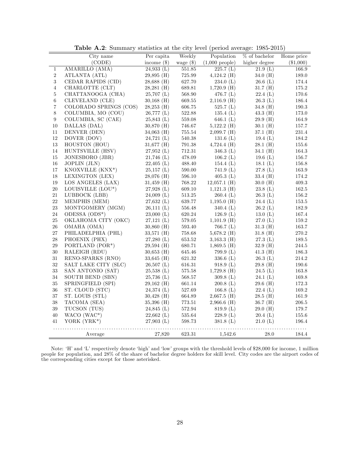|                | City name                     | Per capita    | Weekly      | Population               | $\overline{\%}$ of bachelor | Home price  |
|----------------|-------------------------------|---------------|-------------|--------------------------|-----------------------------|-------------|
|                | (CODE)                        | income $(\$)$ | wage $(\$)$ | $(1,000 \text{ people})$ | higher degree               | $(\$1,000)$ |
| 1              | AMARILLO (AMA)                | 24,933(L)     | 551.85      | 225.7(L)                 | 21.9(L)                     | 166.9       |
| $\,2$          | ATLANTA (ATL)                 | $29,895$ (H)  | 725.99      | $4,124.2$ (H)            | 34.0(H)                     | 189.0       |
| $\sqrt{3}$     | CEDAR RAPIDS (CID)            | $28,688$ (H)  | 627.70      | 234.0(L)                 | 26.6(L)                     | 174.4       |
| $\overline{4}$ | CHARLOTTE (CLT)               | $28,281$ (H)  | 689.81      | $1,720.9$ (H)            | 31.7(H)                     | $175.2\,$   |
| $\bf 5$        | CHATTANOOGA (CHA)             | $25,707$ (L)  | 568.90      | 476.7 $(L)$              | 22.4(L)                     | 170.6       |
| $\,6\,$        | CLEVELAND (CLE)               | $30,168$ (H)  | 669.55      | $2,116.9$ (H)            | 26.3(L)                     | 186.4       |
| $\,7$          | COLORADO SPRINGS (COS)        | $28,253$ (H)  | 606.75      | 525.7(L)                 | 34.8(H)                     | $190.3\,$   |
| $\,8\,$        | COLUMBIA, MO (COU)            | 26,777(L)     | 522.88      | 135.4(L)                 | $43.3 \; (H)$               | 173.0       |
| 9              | COLUMBIA, SC (CAE)            | 25,843(L)     | 559.08      | 646.1 $(L)$              | 29.9(H)                     | $164.9\,$   |
| 10             | DALLAS (DAL)                  | 30,870 (H)    | 746.67      | $5,122.2$ (H)            | $30.1$ (H)                  | 157.7       |
| 11             | DENVER (DEN)                  | $34,063$ (H)  | 755.54      | $2,099.7$ (H)            | 37.1(H)                     | $231.4\,$   |
| 12             | DOVER (DOV)                   | 24,721(L)     | 540.38      | 131.6(L)                 | 19.4 $(L)$                  | 184.2       |
| $13\,$         | HOUSTON (HOU)                 | $31,677$ (H)  | 791.38      | $4,724.4$ (H)            | $28.1$ (H)                  | 155.6       |
| $14\,$         | HUNTSVILLE (HSV)              | 27,952(L)     | $712.31\,$  | 346.3 $(L)$              | 34.1 $(H)$                  | 164.3       |
| 15             | JONESBORO (JBR)               | 21,746(L)     | 478.09      | 106.2(L)                 | 19.6 $(L)$                  | 156.7       |
| 16             | JOPLIN (JLN)                  | $22,405$ (L)  | 488.40      | 154.4(L)                 | 18.1(L)                     | 156.8       |
| 17             | KNOXVILLE (KNX <sup>*</sup> ) | 25,157(L)     | 590.00      | 741.9(L)                 | 27.8(L)                     | $163.9\,$   |
| 18             | LEXINGTON (LEX)               | $28,076$ (H)  | 596.10      | 405.3(L)                 | 33.4(H)                     | 174.2       |
| 19             | LOS ANGELES (LAX)             | $31,459$ (H)  | 768.22      | $12,057.1$ (H)           | 30.0(H)                     | $409.3\,$   |
| $20\,$         | LOUISVILLE (LOU*)             | 27,928(L)     | 609.10      | $1,121.3$ (H)            | 23.8(L)                     | $162.5\,$   |
| 21             | LUBBOCK (LBB)                 | 24,009(L)     | $513.25\,$  | 260.4(L)                 | 26.3(L)                     | $156.2\,$   |
| 22             | MEMPHIS (MEM)                 | 27,632(L)     | 639.77      | $1,195.0$ (H)            | 24.4(L)                     | $153.5\,$   |
| 23             | MONTGOMERY (MGM)              | 26,111(L)     | 556.48      | 340.4 $(L)$              | 26.2(L)                     | 182.9       |
| 24             | ODESSA (ODS*)                 | 23,000(L)     | 620.24      | 126.9(L)                 | 13.0 $(L)$                  | $167.4\,$   |
| 25             | OKLAHOMA CITY (OKC)           | 27,121(L)     | 579.05      | $1,101.9$ (H)            | 27.0(L)                     | $159.2\,$   |
| ${\bf 26}$     | OMAHA (OMA)                   | $30,860$ (H)  | 593.40      | 766.7(L)                 | 31.3(H)                     | 163.7       |
| 27             | PHILADELPHIA (PHL)            | $33,571$ (H)  | 758.68      | $5,678.2$ (H)            | 31.8(H)                     | $270.2\,$   |
| 28             | PHOENIX (PHX)                 | 27,280(L)     | 653.52      | $3,163.3$ (H)            | 27.3(L)                     | $189.5\,$   |
| 29             | PORTLAND (POR*)               | $29,594$ (H)  | 680.71      | $1,869.5$ (H)            | 32.9(H)                     | $244.5\,$   |
| 30             | RALEIGH (RDU)                 | $30,653$ (H)  | 645.46      | 799.9(L)                 | $41.3 \; (H)$               | 186.3       |
| 31             | RENO-SPARKS (RNO)             | 33,645 (H)    | 621.32      | 336.6 $(L)$              | 26.3(L)                     | $214.2\,$   |
| 32             | SALT LAKE CITY (SLC)          | 26,507(L)     | 616.31      | 918.9(L)                 | $29.8$ (H)                  | 190.6       |
| 33             | SAN ANTONIO (SAT)             | 25.538(L)     | 575.58      | $1,729.8$ (H)            | 24.5(L)                     | 163.8       |
| 34             | SOUTH BEND (SBN)              | 25,736(L)     | 568.57      | 309.8(L)                 | 24.1(L)                     | 169.8       |
| 35             | SPRINGFIELD (SPI)             | $29,162$ (H)  | 661.14      | 200.8(L)                 | $29.6$ (H)                  | 172.3       |
| 36             | ST. CLOUD (STC)               | 24,374(L)     | 527.69      | 166.8 $(L)$              | 22.4(L)                     | $169.2\,$   |
| 37             | ST. LOUIS (STL)               | $30,428$ (H)  | 664.89      | $2,667.5$ (H)            | $28.5$ (H)                  | $161.9\,$   |
| 38             | TACOMA (SEA)                  | 35,396 (H)    | 773.51      | $2,966.6$ (H)            | 36.7(H)                     | 206.5       |
| 39             | TUCSON (TUS)                  | 24,845(L)     | 572.94      | 819.9(L)                 | 29.0(H)                     | 179.7       |
| 40             | WACO (WAC*)                   | $22,662$ (L)  | 535.64      | 228.9(L)                 | 20.4(L)                     | $155.6\,$   |
| 41             | YORK (YRK*)                   | 27,903(L)     | 598.73      | 381.8(L)                 | 21.0(L)                     | 196.4       |
|                | Average                       | 27,820        | 623.31      | 1,542.6                  | $28.0\,$                    | 184.4       |

Table A.2: Summary statistics at the city level (period average: 1985-2015)

Note: 'H' and 'L' respectively denote 'high' and 'low' groups with the threshold levels of \$28,000 for income, 1 million people for population, and 28% of the share of bachelor degree holders for skill level. City codes are the airport codes of the corresponding cities except for those asterisked.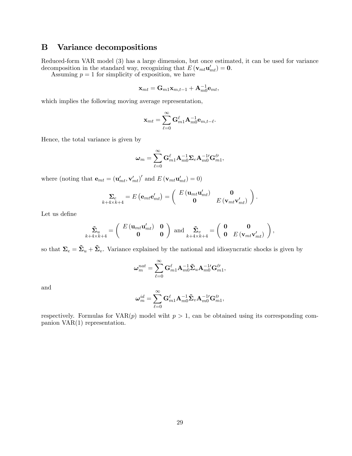### B Variance decompositions

Reduced-form VAR model (3) has a large dimension, but once estimated, it can be used for variance decomposition in the standard way, recognizing that  $E(\mathbf{v}_{mt}\mathbf{u}'_{mt}) = \mathbf{0}$ .

Assuming  $p = 1$  for simplicity of exposition, we have

$$
\mathbf{x}_{mt} = \mathbf{G}_{m1} \mathbf{x}_{m,t-1} + \mathbf{A}_{m0}^{-1} \mathbf{e}_{mt},
$$

which implies the following moving average representation,

$$
\mathbf{x}_{mt} = \sum_{\ell=0}^{\infty} \mathbf{G}_{m1}^{\ell} \mathbf{A}_{m0}^{-1} \mathbf{e}_{m,t-\ell}.
$$

Hence, the total variance is given by

$$
\boldsymbol{\omega}_m = \sum_{\ell=0}^\infty \mathbf{G}_{m1}^{\ell} \mathbf{A}_{m0}^{-1} \boldsymbol{\Sigma}_e \mathbf{A}_{m0}^{-1\prime} \mathbf{G}_{m1}^{\ell\prime},
$$

where (noting that  $\mathbf{e}_{mt} = (\mathbf{u}'_{mt}, \mathbf{v}'_{mt})'$  and  $E(\mathbf{v}_{mt}\mathbf{u}'_{mt}) = 0$ )

$$
\sum_{k+4\times k+4} = E\left(\mathbf{e}_{mt}\mathbf{e}'_{mt}\right) = \begin{pmatrix} E\left(\mathbf{u}_{mt}\mathbf{u}'_{mt}\right) & \mathbf{0} \\ \mathbf{0} & E\left(\mathbf{v}_{mt}\mathbf{v}'_{mt}\right) \end{pmatrix}.
$$

Let us define

$$
\tilde{\mathbf{\Sigma}}_{u}\limits_{k+4\times k+4} = \left(\begin{array}{cc} E\left(\mathbf{u}_{mt}\mathbf{u}_{mt}^{\prime}\right) & \mathbf{0} \\ \mathbf{0} & \mathbf{0} \end{array}\right) \text{ and } \tilde{\mathbf{\Sigma}}_{v}\limits_{k+4\times k+4} = \left(\begin{array}{cc} \mathbf{0} & \mathbf{0} \\ \mathbf{0} & E\left(\mathbf{v}_{mt}\mathbf{v}_{mt}^{\prime}\right) \end{array}\right),
$$

so that  $\Sigma_e = \tilde{\Sigma}_u + \tilde{\Sigma}_v$ . Variance explained by the national and idiosyncratic shocks is given by

$$
\boldsymbol{\omega}_{m}^{nat}=\sum_{\ell=0}^{\infty}\mathbf{G}_{m1}^{\ell}\mathbf{A}_{m0}^{-1}\tilde{\mathbf{\Sigma}}_{u}\mathbf{A}_{m0}^{-1\prime}\mathbf{G}_{m1}^{\ell\prime},
$$

and

$$
\boldsymbol{\omega}^{id}_m = \sum_{\ell=0}^\infty \mathbf{G}_{m1}^\ell \mathbf{A}_{m0}^{-1}\tilde{\boldsymbol{\Sigma}}_v \mathbf{A}_{m0}^{-1\prime}\mathbf{G}_{m1}^\ell,
$$

respectively. Formulas for  $VAR(p)$  model wiht  $p > 1$ , can be obtained using its corresponding companion VAR(1) representation.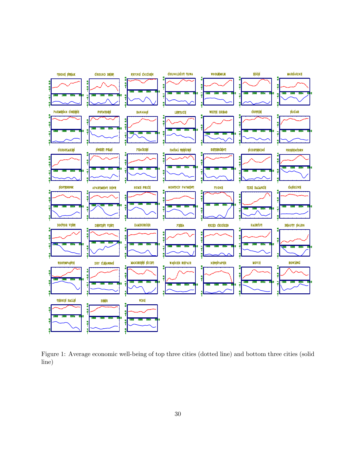

Figure 1: Average economic well-being of top three cities (dotted line) and bottom three cities (solid line)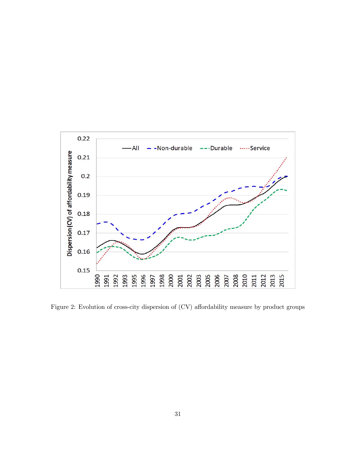

Figure 2: Evolution of cross-city dispersion of (CV) affordability measure by product groups